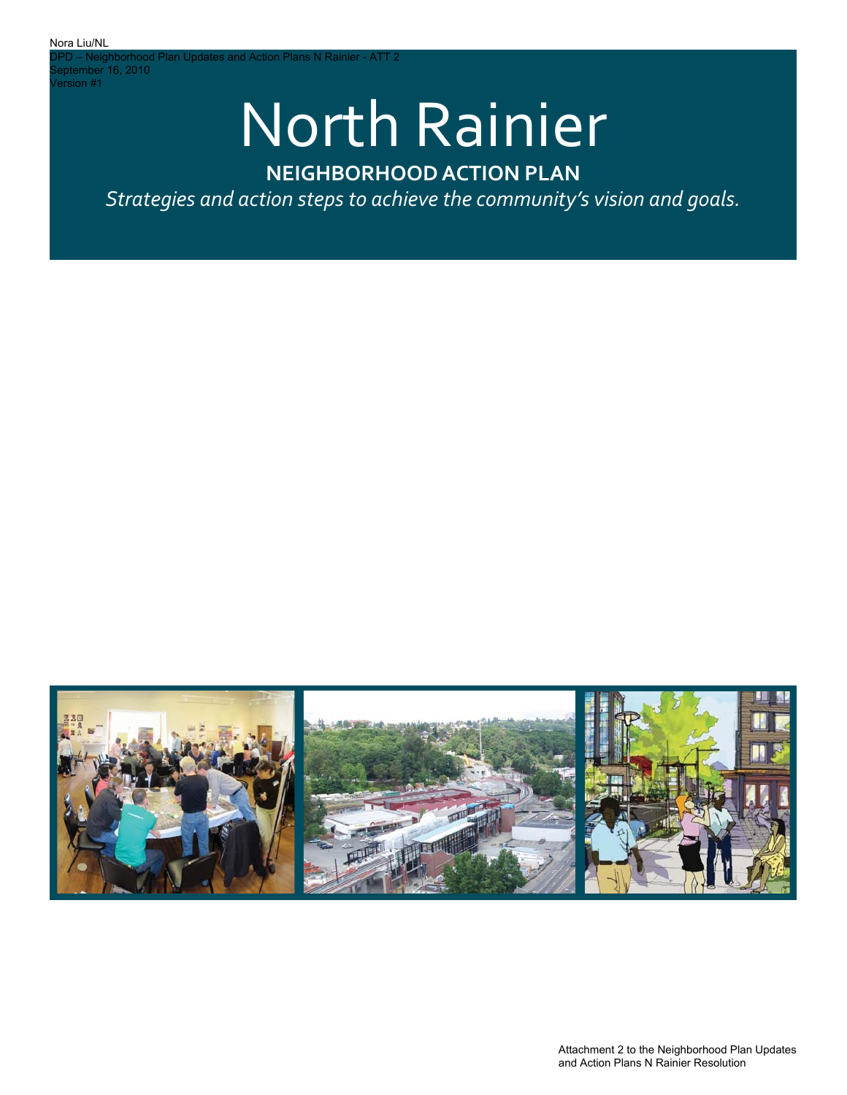d Plan Updates and Action Plans N Rainier - ATT 2 PD – Neighborhood<br>eptember 16, 2010 Version #1

# North Rainier

## **NEIGHBORHOOD ACTION PLAN**

*Strategies and action steps to achieve the community's vision and goals.*



Attachment 2 to the Neighborhood Plan Updates and Action Plans N Rainier Resolution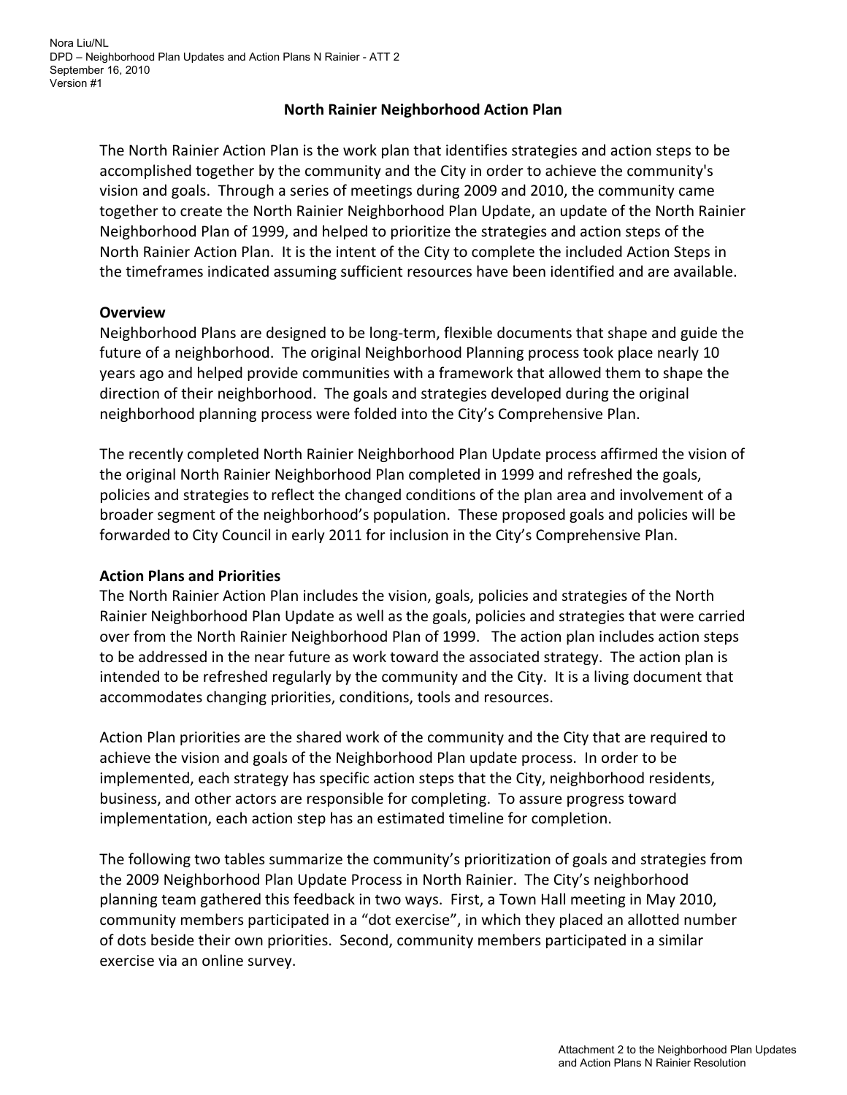## **North Rainier Neighborhood Action Plan**

The North Rainier Action Plan is the work plan that identifies strategies and action steps to be accomplished together by the community and the City in order to achieve the community's vision and goals. Through a series of meetings during 2009 and 2010, the community came together to create the North Rainier Neighborhood Plan Update, an update of the North Rainier Neighborhood Plan of 1999, and helped to prioritize the strategies and action steps of the North Rainier Action Plan. It is the intent of the City to complete the included Action Steps in the timeframes indicated assuming sufficient resources have been identified and are available.

## **Overview**

Neighborhood Plans are designed to be long‐term, flexible documents that shape and guide the future of a neighborhood. The original Neighborhood Planning process took place nearly 10 years ago and helped provide communities with a framework that allowed them to shape the direction of their neighborhood. The goals and strategies developed during the original neighborhood planning process were folded into the City's Comprehensive Plan.

The recently completed North Rainier Neighborhood Plan Update process affirmed the vision of the original North Rainier Neighborhood Plan completed in 1999 and refreshed the goals, policies and strategies to reflect the changed conditions of the plan area and involvement of a broader segment of the neighborhood's population. These proposed goals and policies will be forwarded to City Council in early 2011 for inclusion in the City's Comprehensive Plan.

## **Action Plans and Priorities**

The North Rainier Action Plan includes the vision, goals, policies and strategies of the North Rainier Neighborhood Plan Update as well as the goals, policies and strategies that were carried over from the North Rainier Neighborhood Plan of 1999. The action plan includes action steps to be addressed in the near future as work toward the associated strategy. The action plan is intended to be refreshed regularly by the community and the City. It is a living document that accommodates changing priorities, conditions, tools and resources.

Action Plan priorities are the shared work of the community and the City that are required to achieve the vision and goals of the Neighborhood Plan update process. In order to be implemented, each strategy has specific action steps that the City, neighborhood residents, business, and other actors are responsible for completing. To assure progress toward implementation, each action step has an estimated timeline for completion.

The following two tables summarize the community's prioritization of goals and strategies from the 2009 Neighborhood Plan Update Process in North Rainier. The City's neighborhood planning team gathered this feedback in two ways. First, a Town Hall meeting in May 2010, community members participated in a "dot exercise", in which they placed an allotted number of dots beside their own priorities. Second, community members participated in a similar exercise via an online survey.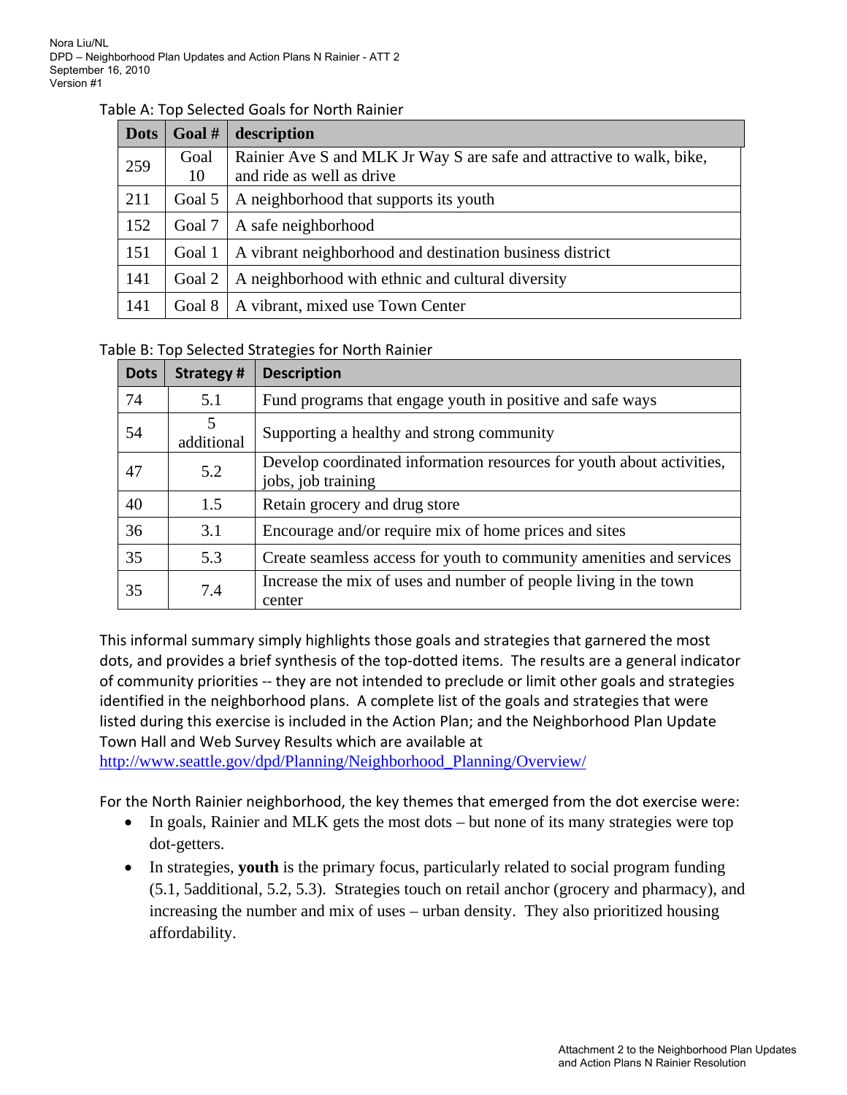## Table A: Top Selected Goals for North Rainier

| <b>Dots</b> | Goal # | description                                                           |
|-------------|--------|-----------------------------------------------------------------------|
| 259         | Goal   | Rainier Ave S and MLK Jr Way S are safe and attractive to walk, bike, |
|             | 10     | and ride as well as drive                                             |
| 211         | Goal 5 | A neighborhood that supports its youth                                |
| 152         | Goal 7 | A safe neighborhood                                                   |
| 151         | Goal 1 | A vibrant neighborhood and destination business district              |
| 141         | Goal 2 | A neighborhood with ethnic and cultural diversity                     |
| 141         | Goal 8 | A vibrant, mixed use Town Center                                      |

## Table B: Top Selected Strategies for North Rainier

| <b>Dots</b> | <b>Strategy#</b> | <b>Description</b>                                                                          |
|-------------|------------------|---------------------------------------------------------------------------------------------|
| 74          | 5.1              | Fund programs that engage youth in positive and safe ways                                   |
| 54          | 5<br>additional  | Supporting a healthy and strong community                                                   |
| 47          | 5.2              | Develop coordinated information resources for youth about activities,<br>jobs, job training |
| 40          | 1.5              | Retain grocery and drug store                                                               |
| 36          | 3.1              | Encourage and/or require mix of home prices and sites                                       |
| 35          | 5.3              | Create seamless access for youth to community amenities and services                        |
| 35          | 7.4              | Increase the mix of uses and number of people living in the town<br>center                  |

This informal summary simply highlights those goals and strategies that garnered the most dots, and provides a brief synthesis of the top-dotted items. The results are a general indicator of community priorities ‐‐ they are not intended to preclude or limit other goals and strategies identified in the neighborhood plans. A complete list of the goals and strategies that were listed during this exercise is included in the Action Plan; and the Neighborhood Plan Update Town Hall and Web Survey Results which are available at

http://www.seattle.gov/dpd/Planning/Neighborhood\_Planning/Overview/

For the North Rainier neighborhood, the key themes that emerged from the dot exercise were:

- In goals, Rainier and MLK gets the most dots but none of its many strategies were top dot-getters.
- In strategies, **youth** is the primary focus, particularly related to social program funding (5.1, 5additional, 5.2, 5.3). Strategies touch on retail anchor (grocery and pharmacy), and increasing the number and mix of uses – urban density. They also prioritized housing affordability.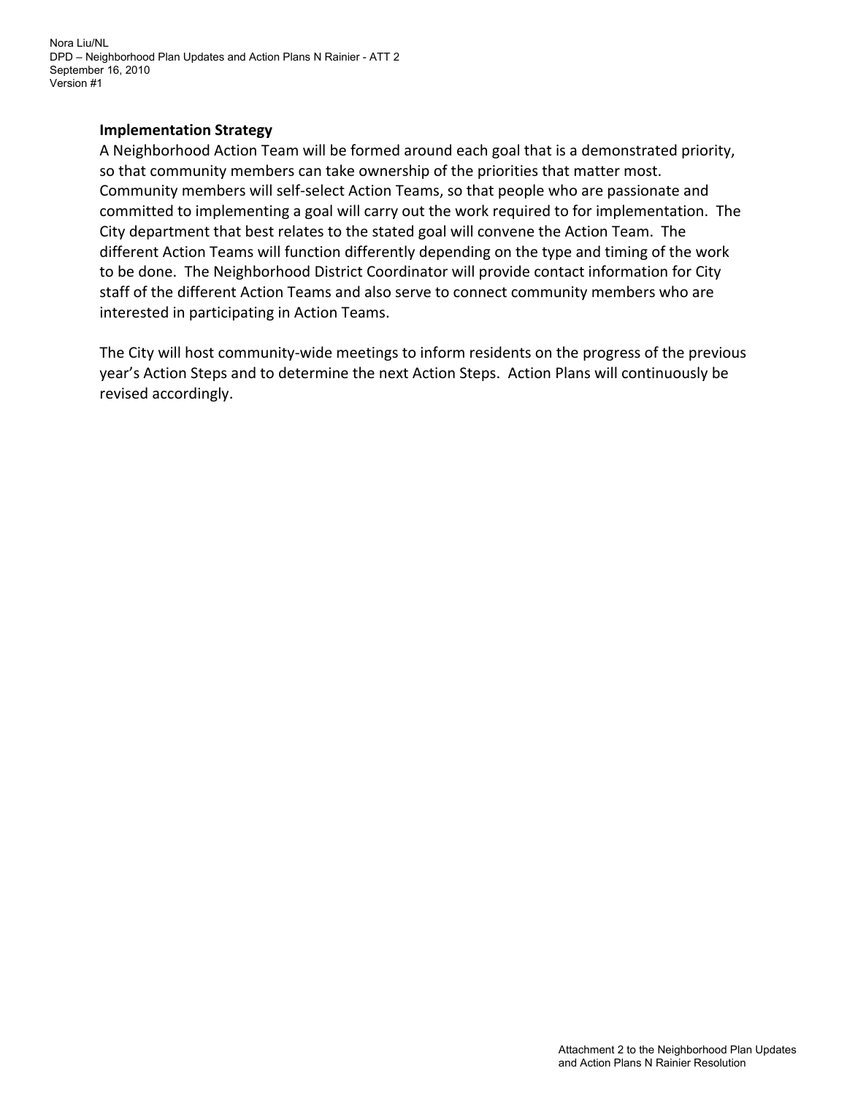Nora Liu/NL DPD – Neighborhood Plan Updates and Action Plans N Rainier - ATT 2 September 16, 2010 Version #1

## **Implementation Strategy**

A Neighborhood Action Team will be formed around each goal that is a demonstrated priority, so that community members can take ownership of the priorities that matter most. Community members will self‐select Action Teams, so that people who are passionate and committed to implementing a goal will carry out the work required to for implementation. The City department that best relates to the stated goal will convene the Action Team. The different Action Teams will function differently depending on the type and timing of the work to be done. The Neighborhood District Coordinator will provide contact information for City staff of the different Action Teams and also serve to connect community members who are interested in participating in Action Teams.

The City will host community‐wide meetings to inform residents on the progress of the previous year's Action Steps and to determine the next Action Steps. Action Plans will continuously be revised accordingly.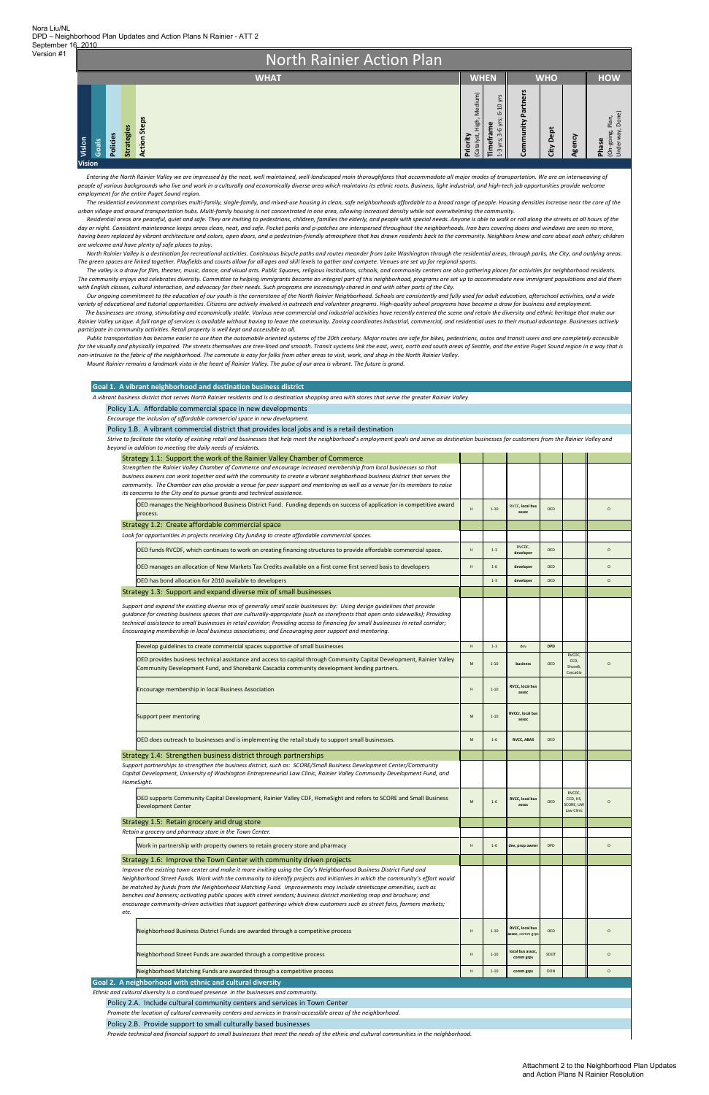North Rainier Action Plan **HOW WHAT WHEN WHO** Community Partners **Community Partners Priority** (Catalyst, High, Medium) 1‐3 yrs; 3‐6 yrs; 6‐10 yrs yrs; 3-6 yrs; 6-10 yrs Plan,<br>Done) Underway, Done) (On‐going, Plan, **Action Steps Action Steps Strategies** meframe **Timeframe City Dept** (On-going, F<br>Underway, I **Policies Agency Vision Phase Goals Vision**

Entering the North Rainier Valley we are impressed by the neat, well maintained, well-landscaped main thoroughfares that accommodate all major modes of transportation. We are an interweaving of people of various backgrounds who live and work in a culturally and economically diverse area which maintains its ethnic roots. Business, light industrial, and high-tech job opportunities provide welcome *employment for the entire Puget Sound region.*

The residential environment comprises multi-family, single-family, and mixed-use housing in clean, safe neighborhoods affordable to a broad range of people. Housing densities increase near the core of the urban village and around transportation hubs. Multi-family housing is not concentrated in one area, allowing increased density while not overwhelming the community.

RVCDF, CCD, HS,

Residential areas are peaceful, quiet and safe. They are inviting to pedestrians, children, families the elderly, and people with special needs. Anyone is able to walk or roll along the streets at all hours of the day or night. Consistent maintenance keeps areas clean, neat, and safe. Pocket parks and p-patches are interspersed throughout the neighborhoods. Iron bars covering doors and windows are seen no more, having been replaced by vibrant architecture and colors, open doors, and a pedestrian-friendly atmosphere that has drawn residents back to the community. Neighbors know and care about each other; children *are welcome and have plenty of safe places to play.*

North Rainier Valley is a destination for recreational activities. Continuous bicycle paths and routes meander from Lake Washington through the residential areas, through parks, the City, and outlying areas. The green spaces are linked together. Playfields and courts allow for all ages and skill levels to gather and compete. Venues are set up for regional sports.

The valley is a draw for film, theater, music, dance, and visual arts. Public Squares, religious institutions, schools, and community centers are also gathering places for activities for neighborhood residents. The community enjoys and celebrates diversity. Committee to helping immigrants become an integral part of this neighborhood, programs are set up to accommodate new immigrant populations and aid them with English classes, cultural interaction, and advocacy for their needs. Such programs are increasingly shared in and with other parts of the City.

Our ongoing commitment to the education of our youth is the cornerstone of the North Rainier Neighborhood. Schools are consistently and fully used for adult education, afterschool activities, and a wide variety of educational and tutorial opportunities. Citizens are actively involved in outreach and volunteer programs. High-quality school programs have become a draw for business and employment. The businesses are strong, stimulating and economically stable. Various new commercial and industrial activities have recently entered the scene and retain the diversity and ethnic heritage that make our

Rainier Valley unique. A full range of services is available without having to leave the community. Zoning coordinates industrial, commercial, and residential uses to their mutual advantage. Businesses actively *participate in community activities. Retail property is well kept and accessible to all.*

Public transportation has become easier to use than the automobile oriented systems of the 20th century. Major routes are safe for bikes, pedestrians, autos and transit users and are completely accessible for the visually and physically impaired. The streets themselves are tree-lined and smooth. Transit systems link the east, west, north and south areas of Seattle, and the entire Puget Sound region in a way that is non-intrusive to the fabric of the neighborhood. The commute is easy for folks from other areas to visit, work, and shop in the North Rainier Valley.

Mount Rainier remains a landmark vista in the heart of Rainier Valley. The pulse of our area is vibrant. The future is grand.

| A vibrant business district that serves North Rainier residents and is a destination shopping area with stores that serve the greater Rainier Valley                                                                                                                                                                                                                                                                                                                                                     |                                                                                                            |          |                                  |            |                                       |          |  |  |  |
|----------------------------------------------------------------------------------------------------------------------------------------------------------------------------------------------------------------------------------------------------------------------------------------------------------------------------------------------------------------------------------------------------------------------------------------------------------------------------------------------------------|------------------------------------------------------------------------------------------------------------|----------|----------------------------------|------------|---------------------------------------|----------|--|--|--|
| Policy 1.A. Affordable commercial space in new developments                                                                                                                                                                                                                                                                                                                                                                                                                                              |                                                                                                            |          |                                  |            |                                       |          |  |  |  |
| Encourage the inclusion of affordable commercial space in new development.                                                                                                                                                                                                                                                                                                                                                                                                                               |                                                                                                            |          |                                  |            |                                       |          |  |  |  |
| Policy 1.B. A vibrant commercial district that provides local jobs and is a retail destination                                                                                                                                                                                                                                                                                                                                                                                                           |                                                                                                            |          |                                  |            |                                       |          |  |  |  |
| Strive to facilitate the vitality of existing retail and businesses that help meet the neighborhood's employment goals and serve as destination businesses for customers from the Rainier Valley and<br>beyond in addition to meeting the daily needs of residents.                                                                                                                                                                                                                                      |                                                                                                            |          |                                  |            |                                       |          |  |  |  |
| Strategy 1.1: Support the work of the Rainier Valley Chamber of Commerce                                                                                                                                                                                                                                                                                                                                                                                                                                 |                                                                                                            |          |                                  |            |                                       |          |  |  |  |
| Strengthen the Rainier Valley Chamber of Commerce and encourage increased membership from local businesses so that<br>business owners can work together and with the community to create a vibrant neighborhood business district that serves the<br>community. The Chamber can also provide a venue for peer support and mentoring as well as a venue for its members to raise<br>its concerns to the City and to pursue grants and technical assistance.                                               |                                                                                                            |          |                                  |            |                                       |          |  |  |  |
| OED manages the Neighborhood Business District Fund. Funding depends on success of application in competitive award<br>process.                                                                                                                                                                                                                                                                                                                                                                          | H                                                                                                          | $1 - 10$ | <b>RVCC.</b> local bus<br>assoc  | OFD        |                                       | $\circ$  |  |  |  |
| Strategy 1.2: Create affordable commercial space                                                                                                                                                                                                                                                                                                                                                                                                                                                         |                                                                                                            |          |                                  |            |                                       |          |  |  |  |
| Look for opportunities in projects receiving City funding to create affordable commercial spaces.                                                                                                                                                                                                                                                                                                                                                                                                        |                                                                                                            |          |                                  |            |                                       |          |  |  |  |
| OED funds RVCDF, which continues to work on creating financing structures to provide affordable commercial space.                                                                                                                                                                                                                                                                                                                                                                                        | $\mathsf H$                                                                                                | $1 - 3$  | RVCDF,<br>developer              | OED        |                                       | $\circ$  |  |  |  |
| OED manages an allocation of New Markets Tax Credits available on a first come first served basis to developers                                                                                                                                                                                                                                                                                                                                                                                          | H                                                                                                          | $1 - 6$  | developer                        | OED        |                                       | $\Omega$ |  |  |  |
|                                                                                                                                                                                                                                                                                                                                                                                                                                                                                                          |                                                                                                            |          |                                  |            |                                       |          |  |  |  |
| OED has bond allocation for 2010 available to developers                                                                                                                                                                                                                                                                                                                                                                                                                                                 |                                                                                                            | $1 - 3$  | developer                        | OED        |                                       |          |  |  |  |
| Strategy 1.3: Support and expand diverse mix of small businesses                                                                                                                                                                                                                                                                                                                                                                                                                                         |                                                                                                            |          |                                  |            |                                       |          |  |  |  |
| Support and expand the existing diverse mix of generally small scale businesses by: Using design quidelines that provide<br>quidance for creating business spaces that are culturally-appropriate (such as storefronts that open onto sidewalks); Providing<br>technical assistance to small businesses in retail corridor; Providing access to financing for small businesses in retail corridor;<br>Encouraging membership in local business associations; and Encouraging peer support and mentoring. |                                                                                                            |          |                                  |            |                                       |          |  |  |  |
| Develop guidelines to create commercial spaces supportive of small businesses                                                                                                                                                                                                                                                                                                                                                                                                                            | H                                                                                                          | $1 - 3$  | dev                              | <b>DPD</b> |                                       | $\circ$  |  |  |  |
| OED provides business technical assistance and access to capital through Community Capital Development, Rainier Valley<br>Community Development Fund, and Shorebank Cascadia community development lending partners.                                                                                                                                                                                                                                                                                     | $\mathsf{M}% _{T}=\mathsf{M}_{T}\!\left( a,b\right) ,\ \mathsf{M}_{T}=\mathsf{M}_{T}\!\left( a,b\right) ,$ | $1 - 10$ | business                         | OED        | RVCDF,<br>CCD,<br>ShoreB,<br>Cascadia | $\circ$  |  |  |  |
| Encourage membership in local Business Association                                                                                                                                                                                                                                                                                                                                                                                                                                                       | H                                                                                                          | $1 - 10$ | <b>RVCC, local bus</b><br>assoc  |            |                                       |          |  |  |  |
| Support peer mentoring                                                                                                                                                                                                                                                                                                                                                                                                                                                                                   | $\mathsf{M}% _{T}=\mathsf{M}_{T}\!\left( a,b\right) ,\ \mathsf{M}_{T}=\mathsf{M}_{T}\!\left( a,b\right) ,$ | $1 - 10$ | <b>RVCCr, local bus</b><br>assoc |            |                                       |          |  |  |  |
| OED does outreach to businesses and is implementing the retail study to support small businesses.                                                                                                                                                                                                                                                                                                                                                                                                        | ${\sf M}$                                                                                                  | $1 - 6$  | <b>RVCC, ABAS</b>                | OED        |                                       |          |  |  |  |
| Strategy 1.4: Strengthen business district through partnerships                                                                                                                                                                                                                                                                                                                                                                                                                                          |                                                                                                            |          |                                  |            |                                       |          |  |  |  |

OED supports Community Capital Development, Rainier Valley CDF, HomeSight and refers to SCORE and Small Business M 1-6 **RVCC**, local bus<br>Development Center Marchael assoc

| <b>Development Center</b>                                                                                                                                                                                                                                                                                                                                                                                                                                                                                                                                                                                                             | M | $1 - 6$  | assoc                                      | OED        | SCORE, UW<br>Law Clinic | $\circ$ |  |  |  |  |
|---------------------------------------------------------------------------------------------------------------------------------------------------------------------------------------------------------------------------------------------------------------------------------------------------------------------------------------------------------------------------------------------------------------------------------------------------------------------------------------------------------------------------------------------------------------------------------------------------------------------------------------|---|----------|--------------------------------------------|------------|-------------------------|---------|--|--|--|--|
| Strategy 1.5: Retain grocery and drug store                                                                                                                                                                                                                                                                                                                                                                                                                                                                                                                                                                                           |   |          |                                            |            |                         |         |  |  |  |  |
| Retain a grocery and pharmacy store in the Town Center.                                                                                                                                                                                                                                                                                                                                                                                                                                                                                                                                                                               |   |          |                                            |            |                         |         |  |  |  |  |
| Work in partnership with property owners to retain grocery store and pharmacy                                                                                                                                                                                                                                                                                                                                                                                                                                                                                                                                                         | H | $1 - 6$  | dev, prop owner                            | <b>DPD</b> |                         | $\circ$ |  |  |  |  |
| Strategy 1.6: Improve the Town Center with community driven projects                                                                                                                                                                                                                                                                                                                                                                                                                                                                                                                                                                  |   |          |                                            |            |                         |         |  |  |  |  |
| Improve the existing town center and make it more inviting using the City's Neighborhood Business District Fund and<br>Neighborhood Street Funds. Work with the community to identify projects and initiatives in which the community's effort would<br>be matched by funds from the Neighborhood Matching Fund. Improvements may include streetscape amenities, such as<br>benches and banners; activating public spaces with street vendors; business district marketing map and brochure; and<br>encourage community-driven activities that support gatherings which draw customers such as street fairs, farmers markets;<br>etc. |   |          |                                            |            |                         |         |  |  |  |  |
| Neighborhood Business District Funds are awarded through a competitive process                                                                                                                                                                                                                                                                                                                                                                                                                                                                                                                                                        | H | $1 - 10$ | <b>RVCC, local bus</b><br>assoc, comm grps | OED        |                         | $\circ$ |  |  |  |  |
| Neighborhood Street Funds are awarded through a competitive process                                                                                                                                                                                                                                                                                                                                                                                                                                                                                                                                                                   | H | $1 - 10$ | local bus assoc,<br>comm grps              | SDOT       |                         | $\circ$ |  |  |  |  |
| Neighborhood Matching Funds are awarded through a competitive process                                                                                                                                                                                                                                                                                                                                                                                                                                                                                                                                                                 | H | $1 - 10$ | comm grps                                  | <b>DON</b> |                         | $\circ$ |  |  |  |  |
| Goal 2. A neighborhood with ethnic and cultural diversity                                                                                                                                                                                                                                                                                                                                                                                                                                                                                                                                                                             |   |          |                                            |            |                         |         |  |  |  |  |
| Ethnic and cultural diversity is a continued presence in the businesses and community.                                                                                                                                                                                                                                                                                                                                                                                                                                                                                                                                                |   |          |                                            |            |                         |         |  |  |  |  |
| Policy 2.A. Include cultural community centers and services in Town Center                                                                                                                                                                                                                                                                                                                                                                                                                                                                                                                                                            |   |          |                                            |            |                         |         |  |  |  |  |
| Promote the location of cultural community centers and services in transit-accessible areas of the neighborhood.                                                                                                                                                                                                                                                                                                                                                                                                                                                                                                                      |   |          |                                            |            |                         |         |  |  |  |  |
| Policy 2.B. Provide support to small culturally based businesses                                                                                                                                                                                                                                                                                                                                                                                                                                                                                                                                                                      |   |          |                                            |            |                         |         |  |  |  |  |
| Provide technical and financial support to small businesses that meet the needs of the ethnic and cultural communities in the neighborhood.                                                                                                                                                                                                                                                                                                                                                                                                                                                                                           |   |          |                                            |            |                         |         |  |  |  |  |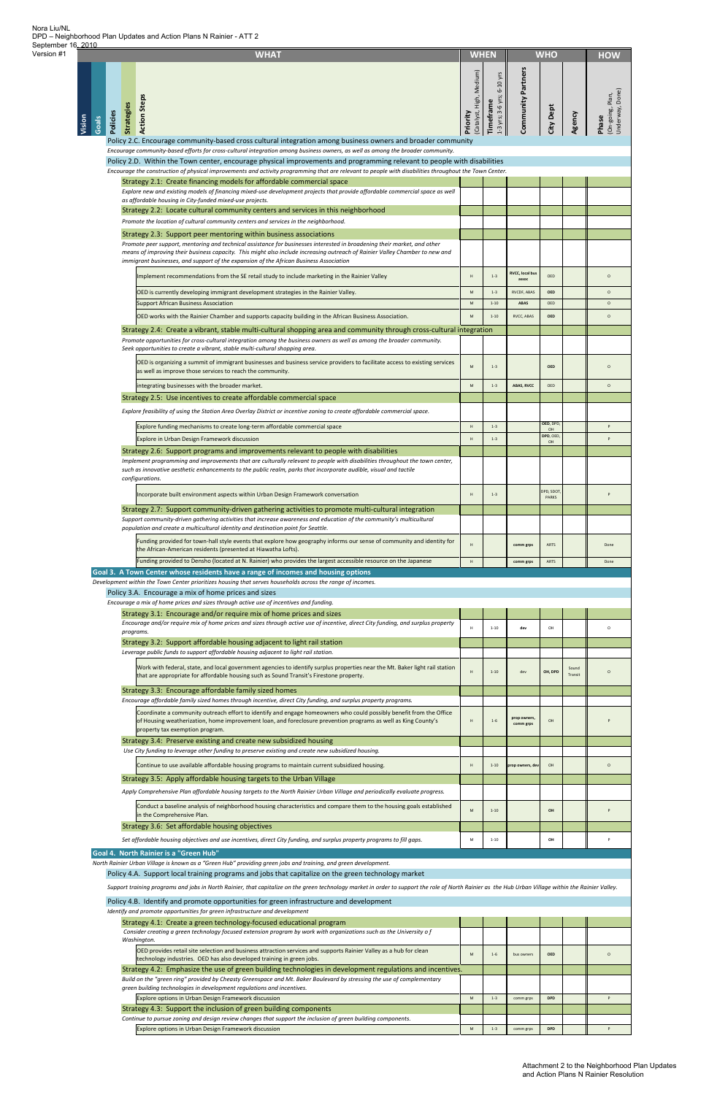| 2010   |       |                               | <b>WHAT</b>                                                                                                                                                                                                                                                                                                                                                                 | <b>WHO</b><br><b>WHEN</b>            |                                         |                           |                              |                  | <b>HOW</b>                                  |
|--------|-------|-------------------------------|-----------------------------------------------------------------------------------------------------------------------------------------------------------------------------------------------------------------------------------------------------------------------------------------------------------------------------------------------------------------------------|--------------------------------------|-----------------------------------------|---------------------------|------------------------------|------------------|---------------------------------------------|
| Vision | Goals | <b>Strategies</b><br>Policies | <b>Action Steps</b>                                                                                                                                                                                                                                                                                                                                                         | (Catalyst, High, Medium)<br>Priority | 1-3 yrs; 3-6 yrs; 6-10 yrs<br>Timeframe | Community Partners        | City Dept                    | Agency           | Underway, Done)<br>On-going, Plan,<br>Phase |
|        |       |                               | Policy 2.C. Encourage community-based cross cultural integration among business owners and broader community<br>Encourage community-based efforts for cross-cultural integration among business owners, as well as among the broader community.<br>Policy 2.D. Within the Town center, encourage physical improvements and programming relevant to people with disabilities |                                      |                                         |                           |                              |                  |                                             |
|        |       |                               | Encourage the construction of physical improvements and activity programming that are relevant to people with disabilities throughout the Town Center.                                                                                                                                                                                                                      |                                      |                                         |                           |                              |                  |                                             |
|        |       |                               | Strategy 2.1: Create financing models for affordable commercial space                                                                                                                                                                                                                                                                                                       |                                      |                                         |                           |                              |                  |                                             |
|        |       |                               | Explore new and existing models of financing mixed-use development projects that provide affordable commercial space as well<br>as affordable housing in City-funded mixed-use projects.                                                                                                                                                                                    |                                      |                                         |                           |                              |                  |                                             |
|        |       |                               | Strategy 2.2: Locate cultural community centers and services in this neighborhood                                                                                                                                                                                                                                                                                           |                                      |                                         |                           |                              |                  |                                             |
|        |       |                               | Promote the location of cultural community centers and services in the neighborhood.<br>Strategy 2.3: Support peer mentoring within business associations                                                                                                                                                                                                                   |                                      |                                         |                           |                              |                  |                                             |
|        |       |                               | Promote peer support, mentoring and technical assistance for businesses interested in broadening their market, and other<br>means of improving their business capacity. This might also include increasing outreach of Rainier Valley Chamber to new and<br>immigrant businesses, and support of the expansion of the African Business Association                          |                                      |                                         |                           |                              |                  |                                             |
|        |       |                               | Implement recommendations from the SE retail study to include marketing in the Rainier Valley                                                                                                                                                                                                                                                                               | H                                    | $1 - 3$                                 | <b>RVCC, local bus</b>    | OED                          |                  | $\circ$                                     |
|        |       |                               | OED is currently developing immigrant development strategies in the Rainier Valley.                                                                                                                                                                                                                                                                                         | M                                    | $1 - 3$                                 | assoc<br>RVCDF, ABAS      | <b>OED</b>                   |                  | $\circ$                                     |
|        |       |                               | <b>Support African Business Association</b>                                                                                                                                                                                                                                                                                                                                 | M                                    | $1 - 10$                                | <b>ABAS</b>               | OED                          |                  | $\circ$                                     |
|        |       |                               | OED works with the Rainier Chamber and supports capacity building in the African Business Association.                                                                                                                                                                                                                                                                      | ${\sf M}$                            | $1 - 10$                                | RVCC, ABAS                | <b>OED</b>                   |                  | $\circ$                                     |
|        |       |                               | Strategy 2.4: Create a vibrant, stable multi-cultural shopping area and community through cross-cultural integration                                                                                                                                                                                                                                                        |                                      |                                         |                           |                              |                  |                                             |
|        |       |                               | Promote opportunities for cross-cultural integration among the business owners as well as among the broader community.<br>Seek opportunities to create a vibrant, stable multi-cultural shopping area.                                                                                                                                                                      |                                      |                                         |                           |                              |                  |                                             |
|        |       |                               | OED is organizing a summit of immigrant businesses and business service providers to facilitate access to existing services<br>as well as improve those services to reach the community.                                                                                                                                                                                    | M                                    | $1 - 3$                                 |                           | <b>OED</b>                   |                  | $\circ$                                     |
|        |       |                               | integrating businesses with the broader market.                                                                                                                                                                                                                                                                                                                             | ${\sf M}$                            | $1 - 3$                                 | ABAS, RVCC                | OED                          |                  | $\circ$                                     |
|        |       |                               | Strategy 2.5: Use incentives to create affordable commercial space                                                                                                                                                                                                                                                                                                          |                                      |                                         |                           |                              |                  |                                             |
|        |       |                               | Explore feasibility of using the Station Area Overlay District or incentive zoning to create affordable commercial space.                                                                                                                                                                                                                                                   |                                      |                                         |                           |                              |                  |                                             |
|        |       |                               | Explore funding mechanisms to create long-term affordable commercial space                                                                                                                                                                                                                                                                                                  | H                                    | $1 - 3$                                 |                           | OED, DPD,<br>OH<br>DPD, OED, |                  | P                                           |
|        |       |                               | Explore in Urban Design Framework discussion<br>Strategy 2.6: Support programs and improvements relevant to people with disabilities                                                                                                                                                                                                                                        | H                                    | $1 - 3$                                 |                           | OH                           |                  | P                                           |
|        |       |                               | Implement programming and improvements that are culturally relevant to people with disabilities throughout the town center,<br>such as innovative aesthetic enhancements to the public realm, parks that incorporate audible, visual and tactile<br>configurations.                                                                                                         |                                      |                                         |                           |                              |                  |                                             |
|        |       |                               | Incorporate built environment aspects within Urban Design Framework conversation                                                                                                                                                                                                                                                                                            | H                                    | $1 - 3$                                 |                           | DPD, SDOT<br>PARKS           |                  | p                                           |
|        |       |                               | Strategy 2.7: Support community-driven gathering activities to promote multi-cultural integration                                                                                                                                                                                                                                                                           |                                      |                                         |                           |                              |                  |                                             |
|        |       |                               | Support community-driven gathering activities that increase awareness and education of the community's multicultural<br>population and create a multicultural identity and destination point for Seattle.                                                                                                                                                                   |                                      |                                         |                           |                              |                  |                                             |
|        |       |                               | Funding provided for town-hall style events that explore how geography informs our sense of community and identity for<br>the African-American residents (presented at Hiawatha Lofts).                                                                                                                                                                                     | H                                    |                                         | comm grps                 | ARTS                         |                  | Done                                        |
|        |       |                               | Funding provided to Densho (located at N. Rainier) who provides the largest accessible resource on the Japanese                                                                                                                                                                                                                                                             | H                                    |                                         | comm grps                 | ARTS                         |                  | Done                                        |
|        |       |                               | Goal 3. A Town Center whose residents have a range of incomes and housing options<br>Development within the Town Center prioritizes housing that serves households across the range of incomes.                                                                                                                                                                             |                                      |                                         |                           |                              |                  |                                             |
|        |       |                               | Policy 3.A. Encourage a mix of home prices and sizes                                                                                                                                                                                                                                                                                                                        |                                      |                                         |                           |                              |                  |                                             |
|        |       |                               | Encourage a mix of home prices and sizes through active use of incentives and funding.                                                                                                                                                                                                                                                                                      |                                      |                                         |                           |                              |                  |                                             |
|        |       |                               | Strategy 3.1: Encourage and/or require mix of home prices and sizes<br>Encourage and/or require mix of home prices and sizes through active use of incentive, direct City funding, and surplus property                                                                                                                                                                     |                                      |                                         |                           |                              |                  |                                             |
|        |       | programs.                     |                                                                                                                                                                                                                                                                                                                                                                             | н                                    | $1 - 10$                                | dev                       | OH                           |                  | $\circ$                                     |
|        |       |                               | Strategy 3.2: Support affordable housing adjacent to light rail station<br>Leverage public funds to support affordable housing adjacent to light rail station.                                                                                                                                                                                                              |                                      |                                         |                           |                              |                  |                                             |
|        |       |                               | Work with federal, state, and local government agencies to identify surplus properties near the Mt. Baker light rail station<br>that are appropriate for affordable housing such as Sound Transit's Firestone property.                                                                                                                                                     | H                                    | $1 - 10$                                | dev                       | OH, DPD                      | Sound<br>Transit | $\circ$                                     |
|        |       |                               | Strategy 3.3: Encourage affordable family sized homes                                                                                                                                                                                                                                                                                                                       |                                      |                                         |                           |                              |                  |                                             |
|        |       |                               | Encourage affordable family sized homes through incentive, direct City funding, and surplus property programs.                                                                                                                                                                                                                                                              |                                      |                                         |                           |                              |                  |                                             |
|        |       |                               | Coordinate a community outreach effort to identify and engage homeowners who could possibly benefit from the Office<br>of Housing weatherization, home improvement loan, and foreclosure prevention programs as well as King County's<br>property tax exemption program.                                                                                                    | н                                    | $1 - 6$                                 | prop owners,<br>comm grps | OH                           |                  |                                             |
|        |       |                               | Strategy 3.4: Preserve existing and create new subsidized housing<br>Use City funding to leverage other funding to preserve existing and create new subsidized housing.                                                                                                                                                                                                     |                                      |                                         |                           |                              |                  |                                             |
|        |       |                               | Continue to use available affordable housing programs to maintain current subsidized housing.                                                                                                                                                                                                                                                                               | H                                    | $1 - 10$                                | prop owners, dev          | OH                           |                  | $\circ$                                     |
|        |       |                               | Strategy 3.5: Apply affordable housing targets to the Urban Village                                                                                                                                                                                                                                                                                                         |                                      |                                         |                           |                              |                  |                                             |
|        |       |                               | Apply Comprehensive Plan affordable housing targets to the North Rainier Urban Village and periodically evaluate progress.                                                                                                                                                                                                                                                  |                                      |                                         |                           |                              |                  |                                             |
|        |       |                               | Conduct a baseline analysis of neighborhood housing characteristics and compare them to the housing goals established<br>in the Comprehensive Plan.                                                                                                                                                                                                                         | M                                    | $1 - 10$                                |                           | OH                           |                  |                                             |
|        |       |                               | Strategy 3.6: Set affordable housing objectives<br>Set affordable housing objectives and use incentives, direct City funding, and surplus property programs to fill gaps.                                                                                                                                                                                                   | M                                    | $1 - 10$                                |                           | OH                           |                  |                                             |
|        |       |                               | Goal 4. North Rainier is a "Green Hub"                                                                                                                                                                                                                                                                                                                                      |                                      |                                         |                           |                              |                  |                                             |
|        |       |                               | North Rainier Urban Village is known as a "Green Hub" providing green jobs and training, and green development.<br>Policy 4.A. Support local training programs and jobs that capitalize on the green technology market                                                                                                                                                      |                                      |                                         |                           |                              |                  |                                             |
|        |       |                               | Support training programs and jobs in North Rainier, that capitalize on the green technology market in order to support the role of North Rainier as the Hub Urban Village within the Rainier Valley.                                                                                                                                                                       |                                      |                                         |                           |                              |                  |                                             |
|        |       |                               | Policy 4.B. Identify and promote opportunities for green infrastructure and development                                                                                                                                                                                                                                                                                     |                                      |                                         |                           |                              |                  |                                             |
|        |       |                               | Identify and promote opportunities for green infrastructure and development                                                                                                                                                                                                                                                                                                 |                                      |                                         |                           |                              |                  |                                             |
|        |       |                               | Strategy 4.1: Create a green technology-focused educational program<br>Consider creating a green technology focused extension program by work with organizations such as the University of                                                                                                                                                                                  |                                      |                                         |                           |                              |                  |                                             |
|        |       |                               | Washington.                                                                                                                                                                                                                                                                                                                                                                 |                                      |                                         |                           |                              |                  |                                             |
|        |       |                               | OED provides retail site selection and business attraction services and supports Rainier Valley as a hub for clean<br>technology industries. OED has also developed training in green jobs.                                                                                                                                                                                 | M                                    | $1 - 6$                                 | bus owners                | <b>OED</b>                   |                  | $\circ$                                     |
|        |       |                               | Strategy 4.2: Emphasize the use of green building technologies in development regulations and incentives.                                                                                                                                                                                                                                                                   |                                      |                                         |                           |                              |                  |                                             |
|        |       |                               | Build on the "green ring" provided by Cheasty Greenspace and Mt. Baker Boulevard by stressing the use of complementary<br>green building technologies in development regulations and incentives.                                                                                                                                                                            |                                      |                                         |                           |                              |                  |                                             |
|        |       |                               | Explore options in Urban Design Framework discussion<br>Strategy 4.3: Support the inclusion of green building components                                                                                                                                                                                                                                                    | M                                    | $1 - 3$                                 | comm grps                 | <b>DPD</b>                   |                  | P                                           |
|        |       |                               | Continue to pursue zoning and design review changes that support the inclusion of green building components.<br>Explore options in Urban Design Framework discussion                                                                                                                                                                                                        | ${\sf M}$                            | $1 - 3$                                 | comm grps                 | <b>DPD</b>                   |                  | P                                           |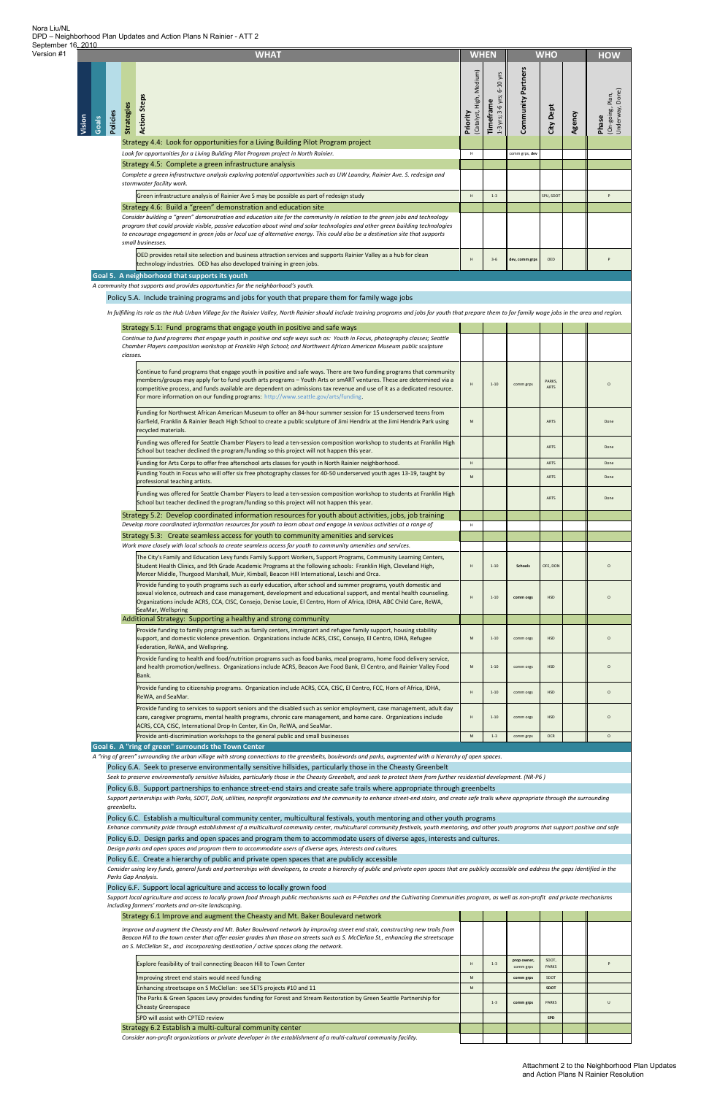Consider using levy funds, general funds and partnerships with developers, to create a hierarchy of public and private open spaces that are publicly accessible and address the gaps identified in the *Parks Gap Analysis.*

Support local agriculture and access to locally grown food through public mechanisms such as P-Patches and the Cultivating Communities program, as well as non-profit and private mechanisms *including farmers' markets and on‐site landscaping.*

|        |                   |            | <b>WHAT</b>                                                                                                                                                                                                                                                                                                                                                                                                                                                  | <b>WHEN</b>                          |                                           | <b>WHO</b>         |                       |        | <b>HOW</b>                                  |  |
|--------|-------------------|------------|--------------------------------------------------------------------------------------------------------------------------------------------------------------------------------------------------------------------------------------------------------------------------------------------------------------------------------------------------------------------------------------------------------------------------------------------------------------|--------------------------------------|-------------------------------------------|--------------------|-----------------------|--------|---------------------------------------------|--|
| Vision | Policies<br>Goals | Strategies | <b>Action Steps</b>                                                                                                                                                                                                                                                                                                                                                                                                                                          | (Catalyst, High, Medium)<br>Priority | 6-10 yrs<br>1-3 yrs; 3-6 yrs;<br>Timefram | Community Partners | City Dept             | Agency | Underway, Done)<br>On-going, Plan,<br>Phase |  |
|        |                   |            | Strategy 4.4: Look for opportunities for a Living Building Pilot Program project                                                                                                                                                                                                                                                                                                                                                                             |                                      |                                           |                    |                       |        |                                             |  |
|        |                   |            | Look for opportunities for a Living Building Pilot Program project in North Rainier.<br>Strategy 4.5: Complete a green infrastructure analysis                                                                                                                                                                                                                                                                                                               | H                                    |                                           | comm grps, dev     |                       |        |                                             |  |
|        |                   |            | Complete a green infrastructure analysis exploring potential opportunities such as UW Laundry, Rainier Ave. S. redesign and                                                                                                                                                                                                                                                                                                                                  |                                      |                                           |                    |                       |        |                                             |  |
|        |                   |            | stormwater facility work.                                                                                                                                                                                                                                                                                                                                                                                                                                    |                                      |                                           |                    |                       |        |                                             |  |
|        |                   |            | Green infrastructure analysis of Rainier Ave S may be possible as part of redesign study                                                                                                                                                                                                                                                                                                                                                                     | H                                    | $1 - 3$                                   |                    | SPU, SDOT             |        | P                                           |  |
|        |                   |            | Strategy 4.6: Build a "green" demonstration and education site                                                                                                                                                                                                                                                                                                                                                                                               |                                      |                                           |                    |                       |        |                                             |  |
|        |                   |            | Consider building a "green" demonstration and education site for the community in relation to the green jobs and technology<br>program that could provide visible, passive education about wind and solar technologies and other green building technologies<br>to encourage engagement in green jobs or local use of alternative energy. This could also be a destination site that supports<br>small businesses.                                           |                                      |                                           |                    |                       |        |                                             |  |
|        |                   |            | OED provides retail site selection and business attraction services and supports Rainier Valley as a hub for clean<br>technology industries. OED has also developed training in green jobs.                                                                                                                                                                                                                                                                  | H                                    | $3 - 6$                                   | dev, comm grps     | OED                   |        |                                             |  |
|        |                   |            | Goal 5. A neighborhood that supports its youth<br>A community that supports and provides opportunities for the neighborhood's youth.                                                                                                                                                                                                                                                                                                                         |                                      |                                           |                    |                       |        |                                             |  |
|        |                   |            | Policy 5.A. Include training programs and jobs for youth that prepare them for family wage jobs                                                                                                                                                                                                                                                                                                                                                              |                                      |                                           |                    |                       |        |                                             |  |
|        |                   |            |                                                                                                                                                                                                                                                                                                                                                                                                                                                              |                                      |                                           |                    |                       |        |                                             |  |
|        |                   |            | In fulfilling its role as the Hub Urban Village for the Rainier Valley, North Rainier should include training programs and jobs for youth that prepare them to for family wage jobs in the area and region.                                                                                                                                                                                                                                                  |                                      |                                           |                    |                       |        |                                             |  |
|        |                   |            | Strategy 5.1: Fund programs that engage youth in positive and safe ways<br>Continue to fund programs that engage youth in positive and safe ways such as: Youth in Focus, photography classes; Seattle                                                                                                                                                                                                                                                       |                                      |                                           |                    |                       |        |                                             |  |
|        |                   | classes.   | Chamber Players composition workshop at Franklin High School; and Northwest African American Museum public sculpture                                                                                                                                                                                                                                                                                                                                         |                                      |                                           |                    |                       |        |                                             |  |
|        |                   |            | Continue to fund programs that engage youth in positive and safe ways. There are two funding programs that community<br>members/groups may apply for to fund youth arts programs - Youth Arts or smART ventures. These are determined via a<br>competitive process, and funds available are dependent on admissions tax revenue and use of it as a dedicated resource.<br>For more information on our funding programs: http://www.seattle.gov/arts/funding. | H                                    | $1 - 10$                                  | comm grps          | PARKS,<br><b>ARTS</b> |        | $\Omega$                                    |  |
|        |                   |            | Funding for Northwest African American Museum to offer an 84-hour summer session for 15 underserved teens from<br>Garfield, Franklin & Rainier Beach High School to create a public sculpture of Jimi Hendrix at the Jimi Hendrix Park using<br>recycled materials.                                                                                                                                                                                          | ${\sf M}$                            |                                           |                    | ARTS                  |        | Done                                        |  |
|        |                   |            | Funding was offered for Seattle Chamber Players to lead a ten-session composition workshop to students at Franklin High<br>School but teacher declined the program/funding so this project will not happen this year.                                                                                                                                                                                                                                        |                                      |                                           |                    | ARTS                  |        | Done                                        |  |
|        |                   |            | Funding for Arts Corps to offer free afterschool arts classes for youth in North Rainier neighborhood.<br>Funding Youth in Focus who will offer six free photography classes for 40-50 underserved youth ages 13-19, taught by<br>professional teaching artists.                                                                                                                                                                                             | H<br>${\sf M}$                       |                                           |                    | ARTS<br>ARTS          |        | Done<br>Done                                |  |
|        |                   |            | Funding was offered for Seattle Chamber Players to lead a ten-session composition workshop to students at Franklin High<br>School but teacher declined the program/funding so this project will not happen this year.                                                                                                                                                                                                                                        |                                      |                                           |                    | ARTS                  |        | Done                                        |  |
|        |                   |            | Strategy 5.2: Develop coordinated information resources for youth about activities, jobs, job training                                                                                                                                                                                                                                                                                                                                                       |                                      |                                           |                    |                       |        |                                             |  |
|        |                   |            | Develop more coordinated information resources for youth to learn about and engage in various activities at a range of                                                                                                                                                                                                                                                                                                                                       | $\mathsf H$                          |                                           |                    |                       |        |                                             |  |
|        |                   |            | Strategy 5.3: Create seamless access for youth to community amenities and services<br>Work more closely with local schools to create seamless access for youth to community amenities and services.                                                                                                                                                                                                                                                          |                                      |                                           |                    |                       |        |                                             |  |
|        |                   |            | The City's Family and Education Levy funds Family Support Workers, Support Programs, Community Learning Centers,<br>Student Health Clinics, and 9th Grade Academic Programs at the following schools: Franklin High, Cleveland High,<br>Mercer Middle, Thurgood Marshall, Muir, Kimball, Beacon Hill International, Leschi and Orca.                                                                                                                         | H                                    | $1 - 10$                                  | Schools            | OFE, DON              |        | $\circ$                                     |  |
|        |                   |            | Provide funding to youth programs such as early education, after school and summer programs, youth domestic and<br>sexual violence, outreach and case management, development and educational support, and mental health counseling.<br>Organizations include ACRS, CCA, CISC, Consejo, Denise Louie, El Centro, Horn of Africa, IDHA, ABC Child Care, ReWA,<br>SeaMar, Wellspring                                                                           | H                                    | $1 - 10$                                  | comm orgs          | <b>HSD</b>            |        | $\circ$                                     |  |
|        |                   |            | Additional Strategy: Supporting a healthy and strong community<br>Provide funding to family programs such as family centers, immigrant and refugee family support, housing stability<br>support, and domestic violence prevention. Organizations include ACRS, CISC, Consejo, El Centro, IDHA, Refugee<br>Federation, ReWA, and Wellspring.                                                                                                                  | ${\sf M}$                            | $1 - 10$                                  | comm orgs          | <b>HSD</b>            |        | $\circ$                                     |  |
|        |                   |            | Provide funding to health and food/nutrition programs such as food banks, meal programs, home food delivery service,<br>and health promotion/wellness. Organizations include ACRS, Beacon Ave Food Bank, El Centro, and Rainier Valley Food<br>Bank.                                                                                                                                                                                                         | ${\sf M}$                            | $1 - 10$                                  | comm orgs          | <b>HSD</b>            |        | $\circ$                                     |  |
|        |                   |            | Provide funding to citizenship programs. Organization include ACRS, CCA, CISC, El Centro, FCC, Horn of Africa, IDHA,<br>ReWA, and SeaMar.                                                                                                                                                                                                                                                                                                                    | H                                    | $1 - 10$                                  | comm orgs          | <b>HSD</b>            |        | $\circ$                                     |  |
|        |                   |            | Provide funding to services to support seniors and the disabled such as senior employment, case management, adult day<br>care, caregiver programs, mental health programs, chronic care management, and home care. Organizations include<br>ACRS, CCA, CISC, International Drop-In Center, Kin On, ReWA, and SeaMar.                                                                                                                                         | н                                    | $1 - 10$                                  | comm orgs          | <b>HSD</b>            |        | $\circ$                                     |  |
|        |                   |            | Provide anti-discrimination workshops to the general public and small businesses                                                                                                                                                                                                                                                                                                                                                                             | ${\sf M}$                            | $1 - 3$                                   | comm grps          | <b>OCR</b>            |        | $\circ$                                     |  |
|        |                   |            | Goal 6. A "ring of green" surrounds the Town Center<br>A "ring of green" surrounding the urban village with strong connections to the greenbelts, boulevards and parks, augmented with a hierarchy of open spaces.                                                                                                                                                                                                                                           |                                      |                                           |                    |                       |        |                                             |  |
|        |                   |            | Policy 6.A. Seek to preserve environmentally sensitive hillsides, particularly those in the Cheasty Greenbelt                                                                                                                                                                                                                                                                                                                                                |                                      |                                           |                    |                       |        |                                             |  |
|        |                   |            | Seek to preserve environmentally sensitive hillsides, particularly those in the Cheasty Greenbelt, and seek to protect them from further residential development. (NR-P6)                                                                                                                                                                                                                                                                                    |                                      |                                           |                    |                       |        |                                             |  |
|        |                   |            | Policy 6.B. Support partnerships to enhance street-end stairs and create safe trails where appropriate through greenbelts                                                                                                                                                                                                                                                                                                                                    |                                      |                                           |                    |                       |        |                                             |  |

Nora Liu/NL DPD – Neighborhood Plan Updates and Action Plans N Rainier - ATT 2 September 16, 2010

Support partnerships with Parks, SDOT, DoN, utilities, nonprofit organizations and the community to enhance street-end stairs, and create safe trails where appropriate through the surrounding

#### Policy 6.C. Establish a multicultural community center, multicultural festivals, youth mentoring and other youth programs

Enhance community pride through establishment of a multicultural community center, multicultural community festivals, youth mentoring, and other youth programs that support positive and safe

#### Policy 6.D. Design parks and open spaces and program them to accommodate users of diverse ages, interests and cultures.

Design parks and open spaces and program them to accommodate users of diverse ages, interests and cultures.

#### Policy 6.E. Create a hierarchy of public and private open spaces that are publicly accessible

#### Policy 6.F. Support local agriculture and access to locally grown food

| Strategy 6.1 Improve and augment the Cheasty and Mt. Baker Boulevard network                                                                                                                                                                                                                                                                              |   |         |                          |                |  |
|-----------------------------------------------------------------------------------------------------------------------------------------------------------------------------------------------------------------------------------------------------------------------------------------------------------------------------------------------------------|---|---------|--------------------------|----------------|--|
| Improve and augment the Cheasty and Mt. Baker Boulevard network by improving street end stair, constructing new trails from<br>Beacon Hill to the town center that offer easier grades than those on streets such as S. McClellan St., enhancing the streetscape<br>on S. McClellan St., and incorporating destination / active spaces along the network. |   |         |                          |                |  |
| Explore feasibility of trail connecting Beacon Hill to Town Center                                                                                                                                                                                                                                                                                        | H | $1 - 3$ | prop owner,<br>comm grps | SDOT,<br>PARKS |  |
| Improving street end stairs would need funding                                                                                                                                                                                                                                                                                                            | M |         | comm grps                | SDOT           |  |
| Enhancing streetscape on S McClellan: see SETS projects #10 and 11                                                                                                                                                                                                                                                                                        | M |         |                          | <b>SDOT</b>    |  |
| The Parks & Green Spaces Levy provides funding for Forest and Stream Restoration by Green Seattle Partnership for<br><b>Cheasty Greenspace</b>                                                                                                                                                                                                            |   | $1 - 3$ | comm grps                | <b>PARKS</b>   |  |
| SPD will assist with CPTED review                                                                                                                                                                                                                                                                                                                         |   |         |                          | SPD            |  |
| Strategy 6.2 Establish a multi-cultural community center                                                                                                                                                                                                                                                                                                  |   |         |                          |                |  |
| Consider non-profit organizations or private developer in the establishment of a multi-cultural community facility.                                                                                                                                                                                                                                       |   |         |                          |                |  |

*greenbelts.*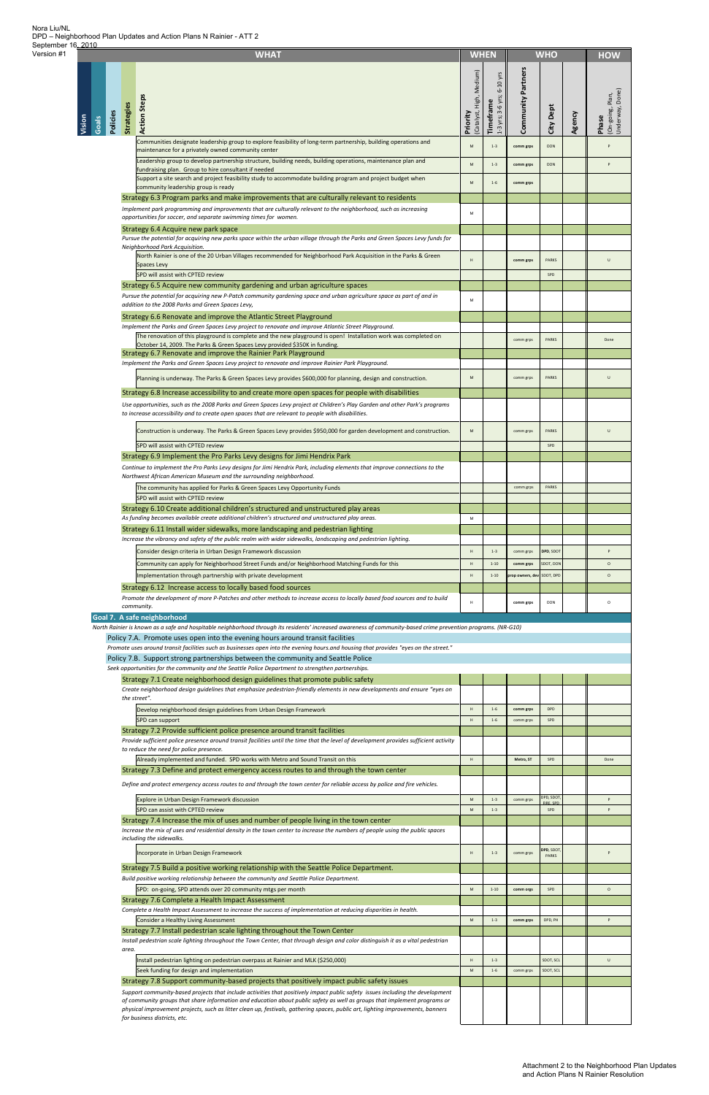**Vision**

|                   |                   | <b>WHAT</b>                                                                                                                                                                                                                                                                                  | <b>WHEN</b>                                      |                                         |                            | <b>WHO</b>                |        | <b>HOW</b>                                   |
|-------------------|-------------------|----------------------------------------------------------------------------------------------------------------------------------------------------------------------------------------------------------------------------------------------------------------------------------------------|--------------------------------------------------|-----------------------------------------|----------------------------|---------------------------|--------|----------------------------------------------|
| Policies<br>Goals | <b>Strategies</b> | <b>Action Steps</b>                                                                                                                                                                                                                                                                          | High, Medium)<br>(Catalyst, <b>I</b><br>Priority | 1-3 yrs; 3-6 yrs; 6-10 yrs<br>Timeframe | Community Partners         | City Dept                 | Agency | Underway, Done)<br>(On-going, Plan,<br>Phase |
|                   |                   | Communities designate leadership group to explore feasibility of long-term partnership, building operations and<br>maintenance for a privately owned community center                                                                                                                        | M                                                | $1 - 3$                                 | comm grps                  | <b>DON</b>                |        | P                                            |
|                   |                   | Leadership group to develop partnership structure, building needs, building operations, maintenance plan and                                                                                                                                                                                 | M                                                | $1 - 3$                                 | comm grps                  | <b>DON</b>                |        | P                                            |
|                   |                   | fundraising plan. Group to hire consultant if needed<br>Support a site search and project feasibility study to accommodate building program and project budget when                                                                                                                          | M                                                | $1 - 6$                                 | comm grps                  |                           |        |                                              |
|                   |                   | community leadership group is ready<br>Strategy 6.3 Program parks and make improvements that are culturally relevant to residents                                                                                                                                                            |                                                  |                                         |                            |                           |        |                                              |
|                   |                   | Implement park programming and improvements that are culturally relevant to the neighborhood, such as increasing<br>opportunities for soccer, and separate swimming times for women.                                                                                                         | M                                                |                                         |                            |                           |        |                                              |
|                   |                   | Strategy 6.4 Acquire new park space                                                                                                                                                                                                                                                          |                                                  |                                         |                            |                           |        |                                              |
|                   |                   | Pursue the potential for acquiring new parks space within the urban village through the Parks and Green Spaces Levy funds for<br>Neighborhood Park Acquisition.                                                                                                                              |                                                  |                                         |                            |                           |        |                                              |
|                   |                   | North Rainier is one of the 20 Urban Villages recommended for Neighborhood Park Acquisition in the Parks & Green<br><b>Spaces Levy</b><br>SPD will assist with CPTED review                                                                                                                  | H                                                |                                         | comm grps                  | <b>PARKS</b><br>SPD       |        | U                                            |
|                   |                   | Strategy 6.5 Acquire new community gardening and urban agriculture spaces                                                                                                                                                                                                                    |                                                  |                                         |                            |                           |        |                                              |
|                   |                   | Pursue the potential for acquiring new P-Patch community gardening space and urban agriculture space as part of and in<br>addition to the 2008 Parks and Green Spaces Levy,                                                                                                                  | M                                                |                                         |                            |                           |        |                                              |
|                   |                   | Strategy 6.6 Renovate and improve the Atlantic Street Playground                                                                                                                                                                                                                             |                                                  |                                         |                            |                           |        |                                              |
|                   |                   | Implement the Parks and Green Spaces Levy project to renovate and improve Atlantic Street Playground.<br>The renovation of this playground is complete and the new playground is open! Installation work was completed on                                                                    |                                                  |                                         | comm grps                  | <b>PARKS</b>              |        | Done                                         |
|                   |                   | October 14, 2009. The Parks & Green Spaces Levy provided \$350K in funding.<br>Strategy 6.7 Renovate and improve the Rainier Park Playground                                                                                                                                                 |                                                  |                                         |                            |                           |        |                                              |
|                   |                   | Implement the Parks and Green Spaces Levy project to renovate and improve Rainier Park Playground.                                                                                                                                                                                           |                                                  |                                         |                            |                           |        |                                              |
|                   |                   | Planning is underway. The Parks & Green Spaces Levy provides \$600,000 for planning, design and construction.                                                                                                                                                                                | M                                                |                                         | comm grps                  | <b>PARKS</b>              |        | U                                            |
|                   |                   | Strategy 6.8 Increase accessibility to and create more open spaces for people with disabilities                                                                                                                                                                                              |                                                  |                                         |                            |                           |        |                                              |
|                   |                   | Use opportunities, such as the 2008 Parks and Green Spaces Levy project at Children's Play Garden and other Park's programs<br>to increase accessibility and to create open spaces that are relevant to people with disabilities.                                                            |                                                  |                                         |                            |                           |        |                                              |
|                   |                   | Construction is underway. The Parks & Green Spaces Levy provides \$950,000 for garden development and construction.<br>SPD will assist with CPTED review                                                                                                                                     | M                                                |                                         | comm grps                  | <b>PARKS</b>              |        | $\cup$                                       |
|                   |                   | Strategy 6.9 Implement the Pro Parks Levy designs for Jimi Hendrix Park                                                                                                                                                                                                                      |                                                  |                                         |                            | SPD                       |        |                                              |
|                   |                   | Continue to implement the Pro Parks Levy designs for Jimi Hendrix Park, including elements that improve connections to the<br>Northwest African American Museum and the surrounding neighborhood.                                                                                            |                                                  |                                         |                            |                           |        |                                              |
|                   |                   | The community has applied for Parks & Green Spaces Levy Opportunity Funds                                                                                                                                                                                                                    |                                                  |                                         | comm grps                  | PARKS                     |        |                                              |
|                   |                   | SPD will assist with CPTED review                                                                                                                                                                                                                                                            |                                                  |                                         |                            |                           |        |                                              |
|                   |                   | Strategy 6.10 Create additional children's structured and unstructured play areas<br>As funding becomes available create additional children's structured and unstructured play areas.                                                                                                       | M                                                |                                         |                            |                           |        |                                              |
|                   |                   | Strategy 6.11 Install wider sidewalks, more landscaping and pedestrian lighting                                                                                                                                                                                                              |                                                  |                                         |                            |                           |        |                                              |
|                   |                   | Increase the vibrancy and safety of the public realm with wider sidewalks, landscaping and pedestrian lighting.<br>Consider design criteria in Urban Design Framework discussion                                                                                                             | H                                                | $1 - 3$                                 | comm grps                  | DPD, SDOT                 |        | P                                            |
|                   |                   | Community can apply for Neighborhood Street Funds and/or Neighborhood Matching Funds for this                                                                                                                                                                                                | H                                                | $1 - 10$                                | comm grps                  | SDOT, DON                 |        | $\circ$                                      |
|                   |                   | Implementation through partnership with private development                                                                                                                                                                                                                                  | H                                                | $1 - 10$                                | prop owners, dev SDOT, DPD |                           |        | $\circ$                                      |
|                   |                   | Strategy 6.12 Increase access to locally based food sources<br>Promote the development of more P-Patches and other methods to increase access to locally based food sources and to build                                                                                                     |                                                  |                                         |                            |                           |        |                                              |
|                   |                   | community.                                                                                                                                                                                                                                                                                   | H                                                |                                         | comm grps                  | <b>DON</b>                |        | $\circ$                                      |
|                   |                   | Goal 7. A safe neighborhood<br>North Rainier is known as a safe and hospitable neighborhood through its residents' increased awareness of community-based crime prevention programs. (NR-G10)                                                                                                |                                                  |                                         |                            |                           |        |                                              |
|                   |                   | Policy 7.A. Promote uses open into the evening hours around transit facilities                                                                                                                                                                                                               |                                                  |                                         |                            |                           |        |                                              |
|                   |                   | Promote uses around transit facilities such as businesses open into the evening hours.and housing that provides "eyes on the street."<br>Policy 7.B. Support strong partnerships between the community and Seattle Police                                                                    |                                                  |                                         |                            |                           |        |                                              |
|                   |                   | Seek opportunities for the community and the Seattle Police Department to strengthen partnerships.                                                                                                                                                                                           |                                                  |                                         |                            |                           |        |                                              |
|                   |                   | Strategy 7.1 Create neighborhood design guidelines that promote public safety<br>Create neighborhood design guidelines that emphasize pedestrian-friendly elements in new developments and ensure "eyes on<br>the street".                                                                   |                                                  |                                         |                            |                           |        |                                              |
|                   |                   | Develop neighborhood design guidelines from Urban Design Framework<br>SPD can support                                                                                                                                                                                                        | H<br>H                                           | $1 - 6$<br>$1 - 6$                      | comm grps<br>comm grps     | DPD<br>SPD                |        |                                              |
|                   |                   | Strategy 7.2 Provide sufficient police presence around transit facilities                                                                                                                                                                                                                    |                                                  |                                         |                            |                           |        |                                              |
|                   |                   | Provide sufficient police presence around transit facilities until the time that the level of development provides sufficient activity<br>to reduce the need for police presence.                                                                                                            |                                                  |                                         |                            |                           |        |                                              |
|                   |                   | Already implemented and funded. SPD works with Metro and Sound Transit on this                                                                                                                                                                                                               | H                                                |                                         | Metro, ST                  | SPD                       |        | Done                                         |
|                   |                   | Strategy 7.3 Define and protect emergency access routes to and through the town center                                                                                                                                                                                                       |                                                  |                                         |                            |                           |        |                                              |
|                   |                   | Define and protect emergency access routes to and through the town center for reliable access by police and fire vehicles.<br>Explore in Urban Design Framework discussion                                                                                                                   | M                                                | $1 - 3$                                 | comm grps                  | DPD, SDOT                 |        |                                              |
|                   |                   | SPD can assist with CPTED review                                                                                                                                                                                                                                                             | M                                                | $1 - 3$                                 |                            | <b>IRE SPI</b><br>SPD     |        | P                                            |
|                   |                   | Strategy 7.4 Increase the mix of uses and number of people living in the town center<br>Increase the mix of uses and residential density in the town center to increase the numbers of people using the public spaces                                                                        |                                                  |                                         |                            |                           |        |                                              |
|                   |                   | including the sidewalks.<br>Incorporate in Urban Design Framework                                                                                                                                                                                                                            | H                                                |                                         | comm grps                  | DPD, SDOT<br><b>PARKS</b> |        |                                              |
|                   |                   | Strategy 7.5 Build a positive working relationship with the Seattle Police Department.                                                                                                                                                                                                       |                                                  |                                         |                            |                           |        |                                              |
|                   |                   | Build positive working relationship between the community and Seattle Police Department.                                                                                                                                                                                                     |                                                  |                                         |                            |                           |        |                                              |
|                   |                   | SPD: on-going, SPD attends over 20 community mtgs per month<br>Strategy 7.6 Complete a Health Impact Assessment                                                                                                                                                                              | M                                                | $1 - 10$                                | comm orgs                  | SPD                       |        | $\circ$                                      |
|                   |                   | Complete a Health Impact Assessment to increase the success of implementation at reducing disparities in health.                                                                                                                                                                             |                                                  |                                         |                            |                           |        |                                              |
|                   |                   | <b>Consider a Healthy Living Assessment</b><br>Strategy 7.7 Install pedestrian scale lighting throughout the Town Center                                                                                                                                                                     | M                                                | $1 - 3$                                 | comm grps                  | DPD, PH                   |        | P                                            |
|                   |                   | Install pedestrian scale lighting throughout the Town Center, that through design and color distinguish it as a vital pedestrian                                                                                                                                                             |                                                  |                                         |                            |                           |        |                                              |
|                   | area.             | Install pedestrian lighting on pedestrian overpass at Rainier and MLK (\$250,000)                                                                                                                                                                                                            | H                                                | $1 - 3$                                 |                            | SDOT, SCL                 |        | U                                            |
|                   |                   | Seek funding for design and implementation                                                                                                                                                                                                                                                   | M                                                | $1 - 6$                                 | comm grps                  | SDOT, SCL                 |        |                                              |
|                   |                   | Strategy 7.8 Support community-based projects that positively impact public safety issues<br>Support community-based projects that include activities that positively impact public safety issues including the development                                                                  |                                                  |                                         |                            |                           |        |                                              |
|                   |                   | of community groups that share information and education about public safety as well as groups that implement programs or<br>physical improvement projects, such as litter clean up, festivals, gathering spaces, public art, lighting improvements, banners<br>for business districts, etc. |                                                  |                                         |                            |                           |        |                                              |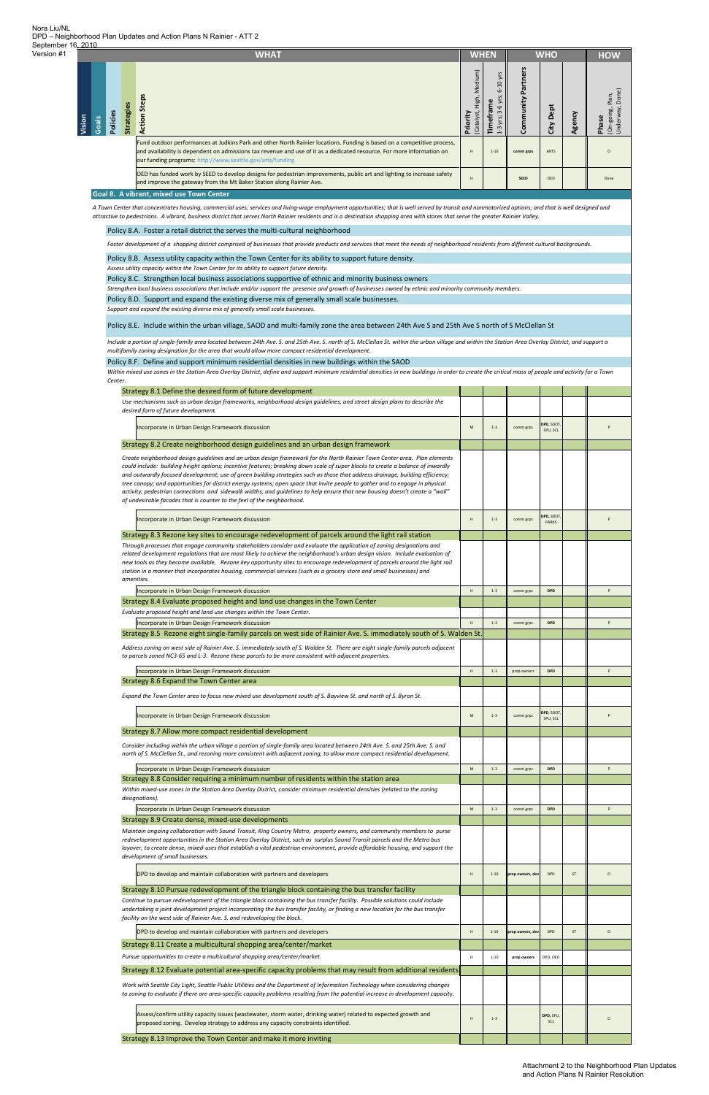|       |       |          |           | <b>WHAT</b>                                                                                                                                                                                                                                                                                                    |                                                    | <b>WHEN</b>                                           |                          | <b>WHO</b>   |                | <b>HOW</b>                                  |
|-------|-------|----------|-----------|----------------------------------------------------------------------------------------------------------------------------------------------------------------------------------------------------------------------------------------------------------------------------------------------------------------|----------------------------------------------------|-------------------------------------------------------|--------------------------|--------------|----------------|---------------------------------------------|
| ision | Goals | Policies | Strategie | 3<br>Ste<br>Action                                                                                                                                                                                                                                                                                             | Medium)<br>High,<br>riority<br>Catalyst)<br>$\sim$ | ă<br>6<br>3<br>۴ŗ<br>$\cdot$ $\sim$<br>yrs;<br>Ě<br>3 | nity<br>ō<br>$\mathbf C$ | Dept<br>City | $\omega$<br>60 | Plan,<br>going,<br>Phase<br>Under<br>$(On-$ |
|       |       |          |           | Fund outdoor performances at Judkins Park and other North Rainier locations. Funding is based on a competitive process,<br>and availability is dependent on admissions tax revenue and use of it as a dedicated resource. For more information on<br>our funding programs: http://www.seattle.gov/arts/funding | H                                                  | $1 - 10$                                              | comm grps                | ARTS         |                | $\Omega$                                    |
|       |       |          |           | OED has funded work by SEED to develop designs for pedestrian improvements, public art and lighting to increase safety<br>and improve the gateway from the Mt Baker Station along Rainier Ave.                                                                                                                 | H                                                  |                                                       | <b>SEED</b>              | OED          |                | Done                                        |
|       |       |          |           | Goal 8. A vibrant, mixed use Town Center                                                                                                                                                                                                                                                                       |                                                    |                                                       |                          |              |                |                                             |

A Town Center that concentrates housing, commercial uses, services and living-wage employment opportunities; that is well served by transit and nonmotorized options; and that is well designed and attractive to pedestrians. A vibrant, business district that serves North Rainier residents and is a destination shopping area with stores that serve the greater Rainier Valley.

#### Policy 8.A. Foster a retail district the serves the multi-cultural neighborhood

Foster development of a shopping district comprised of businesses that provide products and services that meet the needs of neighborhood residents from different cultural backgrounds.

#### Policy 8.B. Assess utility capacity within the Town Center for its ability to support future density.

Policy 8.C. Strengthen local business associations supportive of ethnic and minority business owners

Strengthen local business associations that include and/or support the presence and growth of businesses owned by ethnic and minority community members.

Policy 8.D. Support and expand the existing diverse mix of generally small scale businesses.

#### Policy 8.F. Define and support minimum residential densities in new buildings within the SAOD

Include a portion of single-family area located between 24th Ave. S. and 25th Ave. S. north of S. McClellan St. within the urban village and within the Station Area Overlay District, and support a *multifamily zoning designation for the area that would allow more compact residential development.*

Within mixed use zones in the Station Area Overlay District, define and support minimum residential densities in new buildings in order to create the critical mass of people and activity for a Town *Center.*

Policy 8.E. Include within the urban village, SAOD and multi‐family zone the area between 24th Ave S and 25th Ave S north of S McClellan St

| Strategy 8.1 Define the desired form of future development                                                                                                                                                                                                                                                                                                                                                                                                                                                                                                                                                                                                                                                                                |           |          |                  |                           |    |              |
|-------------------------------------------------------------------------------------------------------------------------------------------------------------------------------------------------------------------------------------------------------------------------------------------------------------------------------------------------------------------------------------------------------------------------------------------------------------------------------------------------------------------------------------------------------------------------------------------------------------------------------------------------------------------------------------------------------------------------------------------|-----------|----------|------------------|---------------------------|----|--------------|
| Use mechanisms such as urban design frameworks, neighborhood design guidelines, and street design plans to describe the<br>desired form of future development.                                                                                                                                                                                                                                                                                                                                                                                                                                                                                                                                                                            |           |          |                  |                           |    |              |
| Incorporate in Urban Design Framework discussion                                                                                                                                                                                                                                                                                                                                                                                                                                                                                                                                                                                                                                                                                          | ${\sf M}$ | $1 - 3$  | comm grps        | DPD, SDOT<br>SPU, SCL     |    |              |
| Strategy 8.2 Create neighborhood design guidelines and an urban design framework                                                                                                                                                                                                                                                                                                                                                                                                                                                                                                                                                                                                                                                          |           |          |                  |                           |    |              |
| Create neighborhood design guidelines and an urban design framework for the North Rainier Town Center area. Plan elements<br>could include: building height options; incentive features; breaking down scale of super blocks to create a balance of inwardly<br>and outwardly focused development; use of green building strategies such as those that address drainage, building efficiency;<br>tree canopy; and opportunities for district energy systems; open space that invite people to gather and to engage in physical<br>activity; pedestrian connections and sidewalk widths; and guidelines to help ensure that new housing doesn't create a "wall"<br>of undesirable facades that is counter to the feel of the neighborhood. |           |          |                  |                           |    |              |
| Incorporate in Urban Design Framework discussion                                                                                                                                                                                                                                                                                                                                                                                                                                                                                                                                                                                                                                                                                          | H         | $1 - 3$  | comm grps        | DPD, SDOT<br><b>PARKS</b> |    | P            |
| Strategy 8.3 Rezone key sites to encourage redevelopment of parcels around the light rail station<br>Through processes that engage community stakeholders consider and evaluate the application of zoning designations and<br>related development regulations that are most likely to achieve the neighborhood's urban design vision. Include evaluation of<br>new tools as they become available. Rezone key opportunity sites to encourage redevelopment of parcels around the light rail<br>station in a manner that incorporates housing, commercial services (such as a grocery store and small businesses) and<br>amenities.                                                                                                        |           |          |                  |                           |    |              |
| Incorporate in Urban Design Framework discussion                                                                                                                                                                                                                                                                                                                                                                                                                                                                                                                                                                                                                                                                                          | H         | $1 - 3$  | comm grps        | <b>DPD</b>                |    |              |
| Strategy 8.4 Evaluate proposed height and land use changes in the Town Center                                                                                                                                                                                                                                                                                                                                                                                                                                                                                                                                                                                                                                                             |           |          |                  |                           |    |              |
| Evaluate proposed height and land use changes within the Town Center.                                                                                                                                                                                                                                                                                                                                                                                                                                                                                                                                                                                                                                                                     |           |          |                  |                           |    |              |
| Incorporate in Urban Design Framework discussion                                                                                                                                                                                                                                                                                                                                                                                                                                                                                                                                                                                                                                                                                          |           | $1 - 3$  | comm grps        | <b>DPD</b>                |    | P            |
| Strategy 8.5 Rezone eight single-family parcels on west side of Rainier Ave. S. immediately south of S. Walden St                                                                                                                                                                                                                                                                                                                                                                                                                                                                                                                                                                                                                         |           |          |                  |                           |    |              |
| Address zoning on west side of Rainier Ave. S. immediately south of S. Walden St. There are eight single-family parcels adjacent<br>to parcels zoned NC3-65 and L-3. Rezone these parcels to be more consistent with adjacent properties.                                                                                                                                                                                                                                                                                                                                                                                                                                                                                                 |           |          |                  |                           |    |              |
| Incorporate in Urban Design Framework discussion                                                                                                                                                                                                                                                                                                                                                                                                                                                                                                                                                                                                                                                                                          | H         | $1 - 3$  | prop owners      | <b>DPD</b>                |    | P            |
| Strategy 8.6 Expand the Town Center area                                                                                                                                                                                                                                                                                                                                                                                                                                                                                                                                                                                                                                                                                                  |           |          |                  |                           |    |              |
| Expand the Town Center area to focus new mixed use development south of S. Bayview St. and north of S. Byron St.                                                                                                                                                                                                                                                                                                                                                                                                                                                                                                                                                                                                                          |           |          |                  |                           |    |              |
| Incorporate in Urban Design Framework discussion                                                                                                                                                                                                                                                                                                                                                                                                                                                                                                                                                                                                                                                                                          | M         | $1 - 3$  | comm grps        | DPD, SDOT<br>SPU, SCL     |    | P            |
| Strategy 8.7 Allow more compact residential development                                                                                                                                                                                                                                                                                                                                                                                                                                                                                                                                                                                                                                                                                   |           |          |                  |                           |    |              |
| Consider including within the urban village a portion of single-family area located between 24th Ave. S. and 25th Ave. S. and<br>north of S. McClellan St., and rezoning more consistent with adjacent zoning, to allow more compact residential development.                                                                                                                                                                                                                                                                                                                                                                                                                                                                             |           |          |                  |                           |    |              |
| Incorporate in Urban Design Framework discussion                                                                                                                                                                                                                                                                                                                                                                                                                                                                                                                                                                                                                                                                                          | ${\sf M}$ | $1 - 3$  | comm grps        | <b>DPD</b>                |    | P            |
| Strategy 8.8 Consider requiring a minimum number of residents within the station area                                                                                                                                                                                                                                                                                                                                                                                                                                                                                                                                                                                                                                                     |           |          |                  |                           |    |              |
| Within mixed-use zones in the Station Area Overlay District, consider minimum residential densities (related to the zoning<br>designations).                                                                                                                                                                                                                                                                                                                                                                                                                                                                                                                                                                                              |           |          |                  |                           |    |              |
| Incorporate in Urban Design Framework discussion                                                                                                                                                                                                                                                                                                                                                                                                                                                                                                                                                                                                                                                                                          | ${\sf M}$ | $1 - 3$  | comm grps        | <b>DPD</b>                |    | P            |
| Strategy 8.9 Create dense, mixed-use developments<br>Maintain ongoing collaboration with Sound Transit, King Country Metro, property owners, and community members to purse                                                                                                                                                                                                                                                                                                                                                                                                                                                                                                                                                               |           |          |                  |                           |    |              |
| redevelopment opportunities in the Station Area Overlay District, such as surplus Sound Transit parcels and the Metro bus<br>layover, to create dense, mixed-uses that establish a vital pedestrian environment, provide affordable housing, and support the<br>development of small businesses.                                                                                                                                                                                                                                                                                                                                                                                                                                          |           |          |                  |                           |    |              |
| DPD to develop and maintain collaboration with partners and developers                                                                                                                                                                                                                                                                                                                                                                                                                                                                                                                                                                                                                                                                    | H         | $1 - 10$ | prop owners, dev | <b>DPD</b>                | ST | $\circ$      |
| Strategy 8.10 Pursue redevelopment of the triangle block containing the bus transfer facility                                                                                                                                                                                                                                                                                                                                                                                                                                                                                                                                                                                                                                             |           |          |                  |                           |    |              |
| Continue to pursue redevelopment of the triangle block containing the bus transfer facility. Possible solutions could include<br>undertaking a joint development project incorporating the bus transfer facility, or finding a new location for the bus transfer<br>facility on the west side of Rainier Ave. S. and redeveloping the block.                                                                                                                                                                                                                                                                                                                                                                                              |           |          |                  |                           |    |              |
| DPD to develop and maintain collaboration with partners and developers                                                                                                                                                                                                                                                                                                                                                                                                                                                                                                                                                                                                                                                                    | H         | $1 - 10$ | prop owners, dev | DPD                       | ST | $\mathsf{o}$ |
| Strategy 8.11 Create a multicultural shopping area/center/market                                                                                                                                                                                                                                                                                                                                                                                                                                                                                                                                                                                                                                                                          |           |          |                  |                           |    |              |
| Pursue opportunities to create a multicultural shopping area/center/market.                                                                                                                                                                                                                                                                                                                                                                                                                                                                                                                                                                                                                                                               | н         | $1 - 10$ | prop owners      | DPD, OED                  |    |              |
| Strategy 8.12 Evaluate potential area-specific capacity problems that may result from additional residents                                                                                                                                                                                                                                                                                                                                                                                                                                                                                                                                                                                                                                |           |          |                  |                           |    |              |
| Work with Seattle City Light, Seattle Public Utilities and the Department of Information Technology when considering changes<br>to zoning to evaluate if there are area-specific capacity problems resulting from the potential increase in development capacity.                                                                                                                                                                                                                                                                                                                                                                                                                                                                         |           |          |                  |                           |    |              |
| Assess/confirm utility capacity issues (wastewater, storm water, drinking water) related to expected growth and<br>proposed zoning. Develop strategy to address any capacity constraints identified.                                                                                                                                                                                                                                                                                                                                                                                                                                                                                                                                      | н         | $1 - 3$  |                  | DPD, SPU,<br>SCL          |    | $\circ$      |
| Strategy 8.13 Improve the Town Center and make it more inviting                                                                                                                                                                                                                                                                                                                                                                                                                                                                                                                                                                                                                                                                           |           |          |                  |                           |    |              |

*Assess utility capacity within the Town Center for its ability to support future density.*

*Support and expand the existing diverse mix of generally small scale businesses.*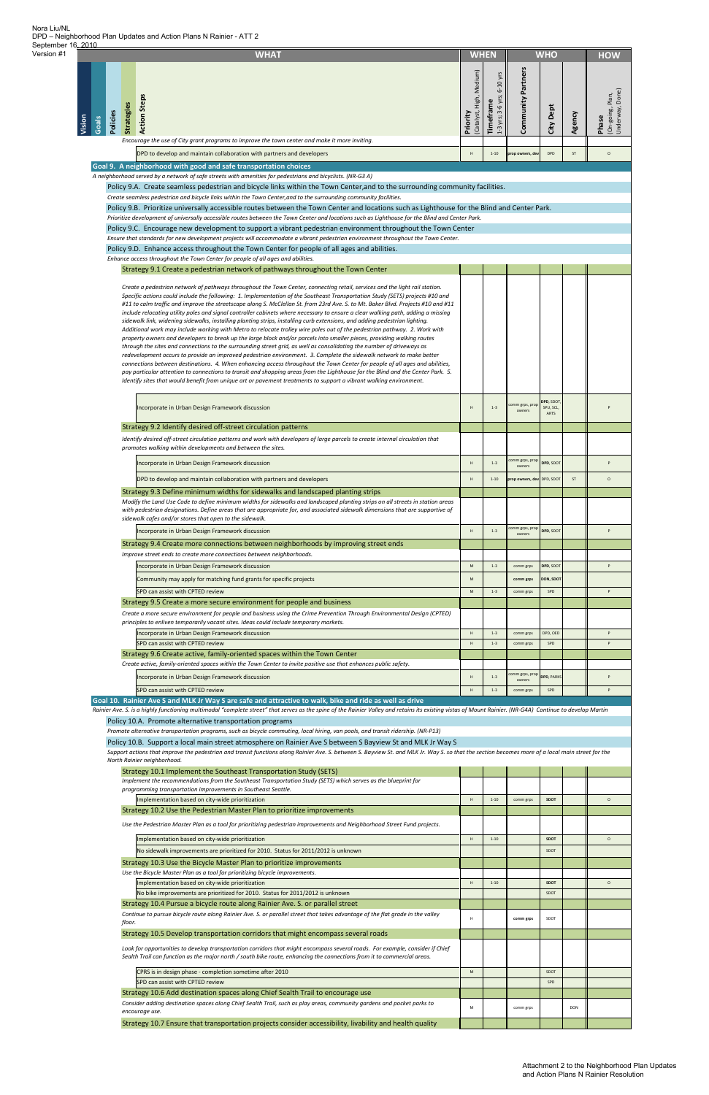| Strategy 10.2 Use the Pedestrian Master Plan to prioritize improvements                                                                                                                                                                                  |   |          |           |             |            |          |
|----------------------------------------------------------------------------------------------------------------------------------------------------------------------------------------------------------------------------------------------------------|---|----------|-----------|-------------|------------|----------|
| Use the Pedestrian Master Plan as a tool for prioritizing pedestrian improvements and Neighborhood Street Fund projects.                                                                                                                                 |   |          |           |             |            |          |
| Implementation based on city-wide prioritization                                                                                                                                                                                                         | H | $1 - 10$ |           | SDOT        |            | $\Omega$ |
| No sidewalk improvements are prioritized for 2010. Status for 2011/2012 is unknown                                                                                                                                                                       |   |          |           | SDOT        |            |          |
| Strategy 10.3 Use the Bicycle Master Plan to prioritize improvements                                                                                                                                                                                     |   |          |           |             |            |          |
| Use the Bicycle Master Plan as a tool for prioritizing bicycle improvements.                                                                                                                                                                             |   |          |           |             |            |          |
| Implementation based on city-wide prioritization                                                                                                                                                                                                         | H | $1 - 10$ |           | <b>SDOT</b> |            | $\circ$  |
| No bike improvements are prioritized for 2010. Status for 2011/2012 is unknown                                                                                                                                                                           |   |          |           | SDOT        |            |          |
| Strategy 10.4 Pursue a bicycle route along Rainier Ave. S. or parallel street                                                                                                                                                                            |   |          |           |             |            |          |
| Continue to pursue bicycle route along Rainier Ave. S. or parallel street that takes advantage of the flat grade in the valley<br>floor.                                                                                                                 | H |          | comm grps | SDOT        |            |          |
| Strategy 10.5 Develop transportation corridors that might encompass several roads                                                                                                                                                                        |   |          |           |             |            |          |
| Look for opportunities to develop transportation corridors that might encompass several roads. For example, consider if Chief<br>Sealth Trail can function as the major north / south bike route, enhancing the connections from it to commercial areas. |   |          |           |             |            |          |
| CPRS is in design phase - completion sometime after 2010                                                                                                                                                                                                 | M |          |           | SDOT        |            |          |
| SPD can assist with CPTED review                                                                                                                                                                                                                         |   |          |           | SPD         |            |          |
| Strategy 10.6 Add destination spaces along Chief Sealth Trail to encourage use                                                                                                                                                                           |   |          |           |             |            |          |
| Consider adding destination spaces along Chief Sealth Trail, such as play areas, community gardens and pocket parks to<br>encourage use.                                                                                                                 |   |          | comm grps |             | <b>DON</b> |          |
| Strategy 10.7 Ensure that transportation projects consider accessibility, livability and health quality                                                                                                                                                  |   |          |           |             |            |          |

Implementation based on city‐wide prioritization **Herophone Communication H 1** 1–10 communic<sub>ation</sub> sport in the communication of the communication of the communication of the communication of the communication of the com

| <b>WHAT</b>                                                                                                                                                                                                                                                                                                                                                                                                                                                                                                                                                                                                                                                                                                                                                                                                                                                                                                                                                                                                                                                                                                                                                                                                                                                                                                                                                                                                                                                                                                                                                        | <b>WHO</b><br><b>WHEN</b>            |                                              |                            |                                 |        | <b>HOW</b>                                   |
|--------------------------------------------------------------------------------------------------------------------------------------------------------------------------------------------------------------------------------------------------------------------------------------------------------------------------------------------------------------------------------------------------------------------------------------------------------------------------------------------------------------------------------------------------------------------------------------------------------------------------------------------------------------------------------------------------------------------------------------------------------------------------------------------------------------------------------------------------------------------------------------------------------------------------------------------------------------------------------------------------------------------------------------------------------------------------------------------------------------------------------------------------------------------------------------------------------------------------------------------------------------------------------------------------------------------------------------------------------------------------------------------------------------------------------------------------------------------------------------------------------------------------------------------------------------------|--------------------------------------|----------------------------------------------|----------------------------|---------------------------------|--------|----------------------------------------------|
| <b>Action Steps</b><br><b>Strategies</b><br>Policies<br>Vision<br>Goals                                                                                                                                                                                                                                                                                                                                                                                                                                                                                                                                                                                                                                                                                                                                                                                                                                                                                                                                                                                                                                                                                                                                                                                                                                                                                                                                                                                                                                                                                            | (Catalyst, High, Medium)<br>Priority | $6-10$ yrs<br>1-3 yrs; 3-6 yrs;<br>Timeframe | Community Partners         | City Dept                       | Agency | (On-going, Plan,<br>Underway, Done)<br>Phase |
| Encourage the use of City grant programs to improve the town center and make it more inviting.                                                                                                                                                                                                                                                                                                                                                                                                                                                                                                                                                                                                                                                                                                                                                                                                                                                                                                                                                                                                                                                                                                                                                                                                                                                                                                                                                                                                                                                                     |                                      |                                              |                            |                                 |        |                                              |
| DPD to develop and maintain collaboration with partners and developers                                                                                                                                                                                                                                                                                                                                                                                                                                                                                                                                                                                                                                                                                                                                                                                                                                                                                                                                                                                                                                                                                                                                                                                                                                                                                                                                                                                                                                                                                             | H                                    | $1 - 10$                                     | prop owners, dev           | DPD                             | ST     | $\circ$                                      |
| Goal 9. A neighborhood with good and safe transportation choices<br>A neighborhood served by a network of safe streets with amenities for pedestrians and bicyclists. (NR-G3 A)                                                                                                                                                                                                                                                                                                                                                                                                                                                                                                                                                                                                                                                                                                                                                                                                                                                                                                                                                                                                                                                                                                                                                                                                                                                                                                                                                                                    |                                      |                                              |                            |                                 |        |                                              |
| Policy 9.A. Create seamless pedestrian and bicycle links within the Town Center, and to the surrounding community facilities.                                                                                                                                                                                                                                                                                                                                                                                                                                                                                                                                                                                                                                                                                                                                                                                                                                                                                                                                                                                                                                                                                                                                                                                                                                                                                                                                                                                                                                      |                                      |                                              |                            |                                 |        |                                              |
| Create seamless pedestrian and bicycle links within the Town Center, and to the surrounding community facilities.                                                                                                                                                                                                                                                                                                                                                                                                                                                                                                                                                                                                                                                                                                                                                                                                                                                                                                                                                                                                                                                                                                                                                                                                                                                                                                                                                                                                                                                  |                                      |                                              |                            |                                 |        |                                              |
| Policy 9.B. Prioritize universally accessible routes between the Town Center and locations such as Lighthouse for the Blind and Center Park.                                                                                                                                                                                                                                                                                                                                                                                                                                                                                                                                                                                                                                                                                                                                                                                                                                                                                                                                                                                                                                                                                                                                                                                                                                                                                                                                                                                                                       |                                      |                                              |                            |                                 |        |                                              |
| Prioritize development of universally accessible routes between the Town Center and locations such as Lighthouse for the Blind and Center Park.<br>Policy 9.C. Encourage new development to support a vibrant pedestrian environment throughout the Town Center                                                                                                                                                                                                                                                                                                                                                                                                                                                                                                                                                                                                                                                                                                                                                                                                                                                                                                                                                                                                                                                                                                                                                                                                                                                                                                    |                                      |                                              |                            |                                 |        |                                              |
| Ensure that standards for new development projects will accommodate a vibrant pedestrian environment throughout the Town Center.                                                                                                                                                                                                                                                                                                                                                                                                                                                                                                                                                                                                                                                                                                                                                                                                                                                                                                                                                                                                                                                                                                                                                                                                                                                                                                                                                                                                                                   |                                      |                                              |                            |                                 |        |                                              |
| Policy 9.D. Enhance access throughout the Town Center for people of all ages and abilities.                                                                                                                                                                                                                                                                                                                                                                                                                                                                                                                                                                                                                                                                                                                                                                                                                                                                                                                                                                                                                                                                                                                                                                                                                                                                                                                                                                                                                                                                        |                                      |                                              |                            |                                 |        |                                              |
| Enhance access throughout the Town Center for people of all ages and abilities.                                                                                                                                                                                                                                                                                                                                                                                                                                                                                                                                                                                                                                                                                                                                                                                                                                                                                                                                                                                                                                                                                                                                                                                                                                                                                                                                                                                                                                                                                    |                                      |                                              |                            |                                 |        |                                              |
| Strategy 9.1 Create a pedestrian network of pathways throughout the Town Center                                                                                                                                                                                                                                                                                                                                                                                                                                                                                                                                                                                                                                                                                                                                                                                                                                                                                                                                                                                                                                                                                                                                                                                                                                                                                                                                                                                                                                                                                    |                                      |                                              |                            |                                 |        |                                              |
| Create a pedestrian network of pathways throughout the Town Center, connecting retail, services and the light rail station.<br>Specific actions could include the following: 1. Implementation of the Southeast Transportation Study (SETS) projects #10 and<br>#11 to calm traffic and improve the streetscape along S. McClellan St. from 23rd Ave. S. to Mt. Baker Blvd. Projects #10 and #11<br>include relocating utility poles and signal controller cabinets where necessary to ensure a clear walking path, adding a missing<br>sidewalk link, widening sidewalks, installing planting strips, installing curb extensions, and adding pedestrian lighting.<br>Additional work may include working with Metro to relocate trolley wire poles out of the pedestrian pathway. 2. Work with<br>property owners and developers to break up the large block and/or parcels into smaller pieces, providing walking routes<br>through the sites and connections to the surrounding street grid, as well as consolidating the number of driveways as<br>redevelopment occurs to provide an improved pedestrian environment. 3. Complete the sidewalk network to make better<br>connections between destinations. 4. When enhancing access throughout the Town Center for people of all ages and abilities,<br>pay particular attention to connections to transit and shopping areas from the Lighthouse for the Blind and the Center Park. 5.<br>Identify sites that would benefit from unique art or pavement treatments to support a vibrant walking environment. |                                      |                                              |                            |                                 |        |                                              |
| Incorporate in Urban Design Framework discussion                                                                                                                                                                                                                                                                                                                                                                                                                                                                                                                                                                                                                                                                                                                                                                                                                                                                                                                                                                                                                                                                                                                                                                                                                                                                                                                                                                                                                                                                                                                   | н                                    | $1 - 3$                                      | comm grps, prop<br>owners  | DPD, SDOT,<br>SPU, SCL,<br>ARTS |        |                                              |
| Strategy 9.2 Identify desired off-street circulation patterns                                                                                                                                                                                                                                                                                                                                                                                                                                                                                                                                                                                                                                                                                                                                                                                                                                                                                                                                                                                                                                                                                                                                                                                                                                                                                                                                                                                                                                                                                                      |                                      |                                              |                            |                                 |        |                                              |
| Identify desired off-street circulation patterns and work with developers of large parcels to create internal circulation that<br>promotes walking within developments and between the sites.                                                                                                                                                                                                                                                                                                                                                                                                                                                                                                                                                                                                                                                                                                                                                                                                                                                                                                                                                                                                                                                                                                                                                                                                                                                                                                                                                                      |                                      |                                              |                            |                                 |        |                                              |
| Incorporate in Urban Design Framework discussion                                                                                                                                                                                                                                                                                                                                                                                                                                                                                                                                                                                                                                                                                                                                                                                                                                                                                                                                                                                                                                                                                                                                                                                                                                                                                                                                                                                                                                                                                                                   | H                                    | $1 - 3$                                      | comm grps, prop<br>owners  | DPD, SDOT                       |        |                                              |
| DPD to develop and maintain collaboration with partners and developers                                                                                                                                                                                                                                                                                                                                                                                                                                                                                                                                                                                                                                                                                                                                                                                                                                                                                                                                                                                                                                                                                                                                                                                                                                                                                                                                                                                                                                                                                             | H                                    | $1 - 10$                                     | prop owners, dev DPD, SDOT |                                 | ST     | $\circ$                                      |
| Strategy 9.3 Define minimum widths for sidewalks and landscaped planting strips<br>Modify the Land Use Code to define minimum widths for sidewalks and landscaped planting strips on all streets in station areas<br>with pedestrian designations. Define areas that are appropriate for, and associated sidewalk dimensions that are supportive of<br>sidewalk cafes and/or stores that open to the sidewalk.                                                                                                                                                                                                                                                                                                                                                                                                                                                                                                                                                                                                                                                                                                                                                                                                                                                                                                                                                                                                                                                                                                                                                     |                                      |                                              |                            |                                 |        |                                              |
| Incorporate in Urban Design Framework discussion                                                                                                                                                                                                                                                                                                                                                                                                                                                                                                                                                                                                                                                                                                                                                                                                                                                                                                                                                                                                                                                                                                                                                                                                                                                                                                                                                                                                                                                                                                                   | н                                    | $1 - 3$                                      | comm grps, prop<br>owners  | DPD, SDOT                       |        | P                                            |
| Strategy 9.4 Create more connections between neighborhoods by improving street ends                                                                                                                                                                                                                                                                                                                                                                                                                                                                                                                                                                                                                                                                                                                                                                                                                                                                                                                                                                                                                                                                                                                                                                                                                                                                                                                                                                                                                                                                                |                                      |                                              |                            |                                 |        |                                              |
| Improve street ends to create more connections between neighborhoods.                                                                                                                                                                                                                                                                                                                                                                                                                                                                                                                                                                                                                                                                                                                                                                                                                                                                                                                                                                                                                                                                                                                                                                                                                                                                                                                                                                                                                                                                                              |                                      |                                              |                            |                                 |        |                                              |
| Incorporate in Urban Design Framework discussion                                                                                                                                                                                                                                                                                                                                                                                                                                                                                                                                                                                                                                                                                                                                                                                                                                                                                                                                                                                                                                                                                                                                                                                                                                                                                                                                                                                                                                                                                                                   | ${\sf M}$                            | $1 - 3$                                      | comm grps                  | DPD, SDOT                       |        | P                                            |
| Community may apply for matching fund grants for specific projects                                                                                                                                                                                                                                                                                                                                                                                                                                                                                                                                                                                                                                                                                                                                                                                                                                                                                                                                                                                                                                                                                                                                                                                                                                                                                                                                                                                                                                                                                                 | M                                    |                                              | comm grps                  | DON, SDOT                       |        | P                                            |
| SPD can assist with CPTED review<br>Strategy 9.5 Create a more secure environment for people and business                                                                                                                                                                                                                                                                                                                                                                                                                                                                                                                                                                                                                                                                                                                                                                                                                                                                                                                                                                                                                                                                                                                                                                                                                                                                                                                                                                                                                                                          | ${\sf M}$                            | $1 - 3$                                      | comm grps                  | SPD                             |        |                                              |
| Create a more secure environment for people and business using the Crime Prevention Through Environmental Design (CPTED)                                                                                                                                                                                                                                                                                                                                                                                                                                                                                                                                                                                                                                                                                                                                                                                                                                                                                                                                                                                                                                                                                                                                                                                                                                                                                                                                                                                                                                           |                                      |                                              |                            |                                 |        |                                              |
| principles to enliven temporarily vacant sites. Ideas could include temporary markets.                                                                                                                                                                                                                                                                                                                                                                                                                                                                                                                                                                                                                                                                                                                                                                                                                                                                                                                                                                                                                                                                                                                                                                                                                                                                                                                                                                                                                                                                             |                                      |                                              |                            |                                 |        |                                              |
| Incorporate in Urban Design Framework discussion                                                                                                                                                                                                                                                                                                                                                                                                                                                                                                                                                                                                                                                                                                                                                                                                                                                                                                                                                                                                                                                                                                                                                                                                                                                                                                                                                                                                                                                                                                                   | $\mathsf H$                          | $1 - 3$                                      | comm grps                  | DPD, OED                        |        | p                                            |
| SPD can assist with CPTED review<br>Strategy 9.6 Create active, family-oriented spaces within the Town Center                                                                                                                                                                                                                                                                                                                                                                                                                                                                                                                                                                                                                                                                                                                                                                                                                                                                                                                                                                                                                                                                                                                                                                                                                                                                                                                                                                                                                                                      | H                                    | $1 - 3$                                      | comm grps                  | SPD                             |        | P                                            |
| Create active, family-oriented spaces within the Town Center to invite positive use that enhances public safety.                                                                                                                                                                                                                                                                                                                                                                                                                                                                                                                                                                                                                                                                                                                                                                                                                                                                                                                                                                                                                                                                                                                                                                                                                                                                                                                                                                                                                                                   |                                      |                                              |                            |                                 |        |                                              |
| Incorporate in Urban Design Framework discussion                                                                                                                                                                                                                                                                                                                                                                                                                                                                                                                                                                                                                                                                                                                                                                                                                                                                                                                                                                                                                                                                                                                                                                                                                                                                                                                                                                                                                                                                                                                   | H                                    | $1 - 3$                                      | comm grps, prop            | <b>DPD, PARKS</b>               |        |                                              |
| SPD can assist with CPTED review                                                                                                                                                                                                                                                                                                                                                                                                                                                                                                                                                                                                                                                                                                                                                                                                                                                                                                                                                                                                                                                                                                                                                                                                                                                                                                                                                                                                                                                                                                                                   | H                                    | $1 - 3$                                      | owners<br>comm grps        | SPD                             |        | P                                            |
| Goal 10. Rainier Ave S and MLK Jr Way S are safe and attractive to walk, bike and ride as well as drive                                                                                                                                                                                                                                                                                                                                                                                                                                                                                                                                                                                                                                                                                                                                                                                                                                                                                                                                                                                                                                                                                                                                                                                                                                                                                                                                                                                                                                                            |                                      |                                              |                            |                                 |        |                                              |
| Rainier Ave. S. is a highly functioning multimodal "complete street" that serves as the spine of the Rainier Valley and retains its existing vistas of Mount Rainier. (NR-G4A) Continue to develop Martin                                                                                                                                                                                                                                                                                                                                                                                                                                                                                                                                                                                                                                                                                                                                                                                                                                                                                                                                                                                                                                                                                                                                                                                                                                                                                                                                                          |                                      |                                              |                            |                                 |        |                                              |
| Policy 10.A. Promote alternative transportation programs<br>Promote alternative transportation programs, such as bicycle commuting, local hiring, van pools, and transit ridership. (NR-P13)                                                                                                                                                                                                                                                                                                                                                                                                                                                                                                                                                                                                                                                                                                                                                                                                                                                                                                                                                                                                                                                                                                                                                                                                                                                                                                                                                                       |                                      |                                              |                            |                                 |        |                                              |
| Policy 10.B. Support a local main street atmosphere on Rainier Ave S between S Bayview St and MLK Jr Way S<br>Support actions that improve the pedestrian and transit functions along Rainier Ave. S. between S. Bayview St. and MLK Jr. Way S. so that the section becomes more of a local main street for the                                                                                                                                                                                                                                                                                                                                                                                                                                                                                                                                                                                                                                                                                                                                                                                                                                                                                                                                                                                                                                                                                                                                                                                                                                                    |                                      |                                              |                            |                                 |        |                                              |
| North Rainier neighborhood.                                                                                                                                                                                                                                                                                                                                                                                                                                                                                                                                                                                                                                                                                                                                                                                                                                                                                                                                                                                                                                                                                                                                                                                                                                                                                                                                                                                                                                                                                                                                        |                                      |                                              |                            |                                 |        |                                              |
| Strategy 10.1 Implement the Southeast Transportation Study (SETS)                                                                                                                                                                                                                                                                                                                                                                                                                                                                                                                                                                                                                                                                                                                                                                                                                                                                                                                                                                                                                                                                                                                                                                                                                                                                                                                                                                                                                                                                                                  |                                      |                                              |                            |                                 |        |                                              |
| Implement the recommendations from the Southeast Transportation Study (SETS) which serves as the blueprint for<br>programming transportation improvements in Southeast Seattle.                                                                                                                                                                                                                                                                                                                                                                                                                                                                                                                                                                                                                                                                                                                                                                                                                                                                                                                                                                                                                                                                                                                                                                                                                                                                                                                                                                                    |                                      |                                              |                            |                                 |        |                                              |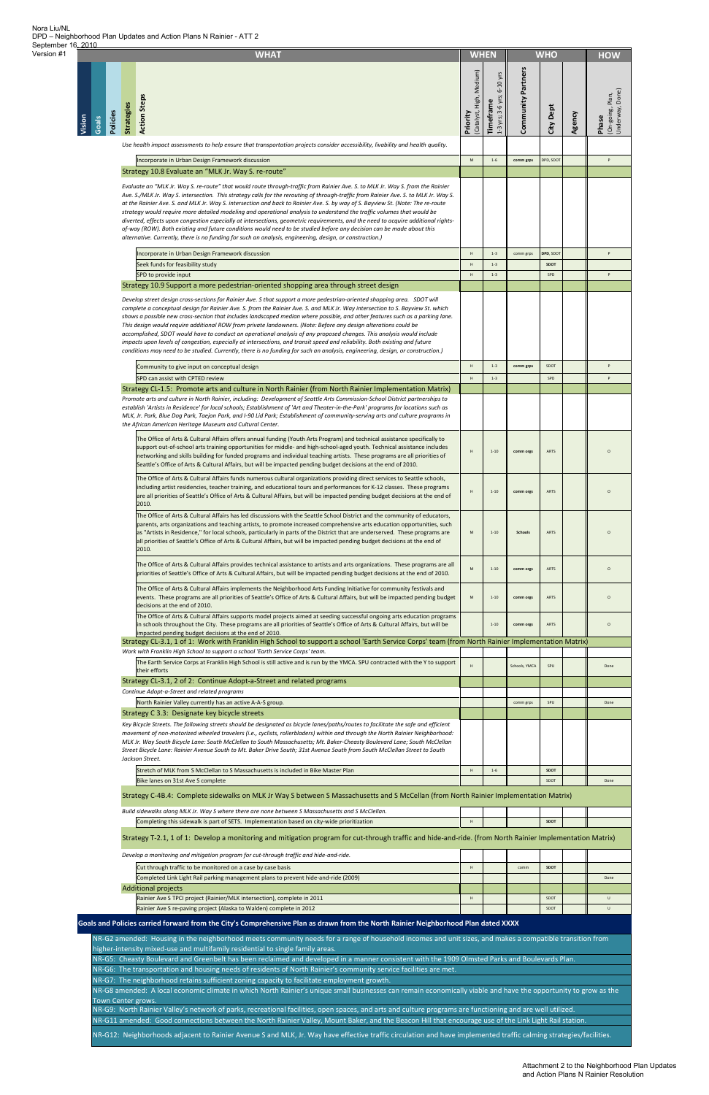**Vision**

|                 |          |                   | <b>WHAT</b>                                                                                                                                                                                                                                                                                                                                                                                                                                                                                                                                                                                                                                                                                                                                                                                                                                                                                                   | <b>WHEN</b>                                                                                                |                                           |                       | <b>WHO</b>         |        | <b>HOW</b>                                   |
|-----------------|----------|-------------------|---------------------------------------------------------------------------------------------------------------------------------------------------------------------------------------------------------------------------------------------------------------------------------------------------------------------------------------------------------------------------------------------------------------------------------------------------------------------------------------------------------------------------------------------------------------------------------------------------------------------------------------------------------------------------------------------------------------------------------------------------------------------------------------------------------------------------------------------------------------------------------------------------------------|------------------------------------------------------------------------------------------------------------|-------------------------------------------|-----------------------|--------------------|--------|----------------------------------------------|
| Vision<br>Goals | Policies | <b>Strategies</b> | <b>Action Steps</b>                                                                                                                                                                                                                                                                                                                                                                                                                                                                                                                                                                                                                                                                                                                                                                                                                                                                                           | (Catalyst, High, Medium)<br>Priority                                                                       | 6-10 yrs<br>1-3 yrs; 3-6 yrs;<br>Timefram | Partners<br>Community | City Dept          | Agency | (On-going, Plan,<br>Underway, Done)<br>Phase |
|                 |          |                   | Use health impact assessments to help ensure that transportation projects consider accessibility, livability and health quality.                                                                                                                                                                                                                                                                                                                                                                                                                                                                                                                                                                                                                                                                                                                                                                              |                                                                                                            |                                           |                       |                    |        |                                              |
|                 |          |                   | Incorporate in Urban Design Framework discussion<br>Strategy 10.8 Evaluate an "MLK Jr. Way S. re-route"                                                                                                                                                                                                                                                                                                                                                                                                                                                                                                                                                                                                                                                                                                                                                                                                       | $\mathsf{M}% _{T}=\mathsf{M}_{T}\!\left( a,b\right) ,\ \mathsf{M}_{T}=\mathsf{M}_{T}\!\left( a,b\right) ,$ | $1 - 6$                                   | comm grps             | DPD, SDOT          |        | P                                            |
|                 |          |                   | Evaluate an "MLK Jr. Way S. re-route" that would route through-traffic from Rainier Ave. S. to MLK Jr. Way S. from the Rainier<br>Ave. S./MLK Jr. Way S. intersection. This strategy calls for the rerouting of through-traffic from Rainier Ave. S. to MLK Jr. Way S.<br>at the Rainier Ave. S. and MLK Jr. Way S. intersection and back to Rainier Ave. S. by way of S. Bayview St. (Note: The re-route<br>strategy would require more detailed modeling and operational analysis to understand the traffic volumes that would be<br>diverted, effects upon congestion especially at intersections, geometric requirements, and the need to acquire additional rights-<br>of-way (ROW). Both existing and future conditions would need to be studied before any decision can be made about this<br>alternative. Currently, there is no funding for such an analysis, engineering, design, or construction.) |                                                                                                            |                                           |                       |                    |        |                                              |
|                 |          |                   | Incorporate in Urban Design Framework discussion                                                                                                                                                                                                                                                                                                                                                                                                                                                                                                                                                                                                                                                                                                                                                                                                                                                              | $\boldsymbol{\mathsf{H}}$                                                                                  | $1 - 3$                                   | comm grps             | DPD, SDOT          |        | p                                            |
|                 |          |                   | Seek funds for feasibility study<br>SPD to provide input                                                                                                                                                                                                                                                                                                                                                                                                                                                                                                                                                                                                                                                                                                                                                                                                                                                      | $\,$ H<br>$\boldsymbol{\mathsf{H}}$                                                                        | $1 - 3$<br>$1 - 3$                        |                       | <b>SDOT</b><br>SPD |        | p                                            |
|                 |          |                   | Strategy 10.9 Support a more pedestrian-oriented shopping area through street design                                                                                                                                                                                                                                                                                                                                                                                                                                                                                                                                                                                                                                                                                                                                                                                                                          |                                                                                                            |                                           |                       |                    |        |                                              |
|                 |          |                   | Develop street design cross-sections for Rainier Ave. S that support a more pedestrian-oriented shopping area. SDOT will<br>complete a conceptual design for Rainier Ave. S. from the Rainier Ave. S. and MLK Jr. Way intersection to S. Bayview St. which<br>shows a possible new cross-section that includes landscaped median where possible, and other features such as a parking lane.<br>This design would require additional ROW from private landowners. (Note: Before any design alterations could be<br>accomplished, SDOT would have to conduct an operational analysis of any proposed changes. This analysis would include<br>impacts upon levels of congestion, especially at intersections, and transit speed and reliability. Both existing and future<br>conditions may need to be studied. Currently, there is no funding for such an analysis, engineering, design, or construction.)      |                                                                                                            |                                           |                       |                    |        |                                              |
|                 |          |                   | Community to give input on conceptual design                                                                                                                                                                                                                                                                                                                                                                                                                                                                                                                                                                                                                                                                                                                                                                                                                                                                  | H                                                                                                          | $1 - 3$                                   | comm grps             | SDOT               |        | p                                            |
|                 |          |                   | SPD can assist with CPTED review<br>Strategy CL-1.5: Promote arts and culture in North Rainier (from North Rainier Implementation Matrix)                                                                                                                                                                                                                                                                                                                                                                                                                                                                                                                                                                                                                                                                                                                                                                     | $\boldsymbol{\mathsf{H}}$                                                                                  | $1 - 3$                                   |                       | SPD                |        | P                                            |
|                 |          |                   | Promote arts and culture in North Rainier, including: Development of Seattle Arts Commission-School District partnerships to<br>establish 'Artists in Residence' for local schools; Establishment of 'Art and Theater-in-the-Park' programs for locations such as<br>MLK, Jr. Park, Blue Dog Park, Taejon Park, and I-90 Lid Park; Establishment of community-serving arts and culture programs in<br>the African American Heritage Museum and Cultural Center.                                                                                                                                                                                                                                                                                                                                                                                                                                               |                                                                                                            |                                           |                       |                    |        |                                              |
|                 |          |                   | The Office of Arts & Cultural Affairs offers annual funding (Youth Arts Program) and technical assistance specifically to<br>support out-of-school arts training opportunities for middle- and high-school-aged youth. Technical assistance includes<br>networking and skills building for funded programs and individual teaching artists. These programs are all priorities of<br>Seattle's Office of Arts & Cultural Affairs, but will be impacted pending budget decisions at the end of 2010.                                                                                                                                                                                                                                                                                                                                                                                                            |                                                                                                            | $1 - 10$                                  | comm orgs             | ARIS               |        |                                              |
|                 |          |                   | The Office of Arts & Cultural Affairs funds numerous cultural organizations providing direct services to Seattle schools,<br>including artist residencies, teacher training, and educational tours and performances for K-12 classes. These programs<br>are all priorities of Seattle's Office of Arts & Cultural Affairs, but will be impacted pending budget decisions at the end of<br>2010.                                                                                                                                                                                                                                                                                                                                                                                                                                                                                                               | H                                                                                                          | $1 - 10$                                  | comm orgs             | ARTS               |        | $\circ$                                      |
|                 |          |                   | The Office of Arts & Cultural Affairs has led discussions with the Seattle School District and the community of educators,<br>parents, arts organizations and teaching artists, to promote increased comprehensive arts education opportunities, such<br>as "Artists in Residence," for local schools, particularly in parts of the District that are underserved. These programs are<br>all priorities of Seattle's Office of Arts & Cultural Affairs, but will be impacted pending budget decisions at the end of<br>2010.                                                                                                                                                                                                                                                                                                                                                                                  | M                                                                                                          | $1 - 10$                                  | <b>Schools</b>        | <b>ARTS</b>        |        | $\circ$                                      |
|                 |          |                   | The Office of Arts & Cultural Affairs provides technical assistance to artists and arts organizations. These programs are all<br>priorities of Seattle's Office of Arts & Cultural Affairs, but will be impacted pending budget decisions at the end of 2010.                                                                                                                                                                                                                                                                                                                                                                                                                                                                                                                                                                                                                                                 | M                                                                                                          | $1 - 10$                                  | comm orgs             | ARTS               |        | $\circ$                                      |
|                 |          |                   | The Office of Arts & Cultural Affairs implements the Neighborhood Arts Funding Initiative for community festivals and<br>events. These programs are all priorities of Seattle's Office of Arts & Cultural Affairs, but will be impacted pending budget<br>decisions at the end of 2010.<br>The Office of Arts & Cultural Affairs supports model projects aimed at seeding successful ongoing arts education programs                                                                                                                                                                                                                                                                                                                                                                                                                                                                                          | ${\sf M}$                                                                                                  | $1 - 10$                                  | comm orgs             | ARTS               |        | $\circ$                                      |
|                 |          |                   | in schools throughout the City. These programs are all priorities of Seattle's Office of Arts & Cultural Affairs, but will be<br>impacted pending budget decisions at the end of 2010.<br>Strategy CL-3.1, 1 of 1: Work with Franklin High School to support a school 'Earth Service Corps' team (from North Rainier Implementation Matrix)                                                                                                                                                                                                                                                                                                                                                                                                                                                                                                                                                                   |                                                                                                            | $1 - 10$                                  | comm orgs             | ARTS               |        | $\circ$                                      |
|                 |          |                   | Work with Franklin High School to support a school 'Earth Service Corps' team.<br>The Earth Service Corps at Franklin High School is still active and is run by the YMCA. SPU contracted with the Y to support                                                                                                                                                                                                                                                                                                                                                                                                                                                                                                                                                                                                                                                                                                | $\mathsf H$                                                                                                |                                           | Schools, YMCA         | SPU                |        | Done                                         |
|                 |          |                   | their efforts<br>Strategy CL-3.1, 2 of 2: Continue Adopt-a-Street and related programs                                                                                                                                                                                                                                                                                                                                                                                                                                                                                                                                                                                                                                                                                                                                                                                                                        |                                                                                                            |                                           |                       |                    |        |                                              |
|                 |          |                   | Continue Adopt-a-Street and related programs                                                                                                                                                                                                                                                                                                                                                                                                                                                                                                                                                                                                                                                                                                                                                                                                                                                                  |                                                                                                            |                                           |                       |                    |        |                                              |
|                 |          |                   | North Rainier Valley currently has an active A-A-S group.<br>Strategy C 3.3: Designate key bicycle streets                                                                                                                                                                                                                                                                                                                                                                                                                                                                                                                                                                                                                                                                                                                                                                                                    |                                                                                                            |                                           | comm grps             | SPU                |        | Done                                         |
|                 |          |                   | Key Bicycle Streets. The following streets should be designated as bicycle lanes/paths/routes to facilitate the safe and efficient<br>movement of non-motorized wheeled travelers (i.e., cyclists, rollerbladers) within and through the North Rainier Neighborhood:<br>MLK Jr. Way South Bicycle Lane: South McClellan to South Massachusetts; Mt. Baker-Cheasty Boulevard Lane; South McClellan<br>Street Bicycle Lane: Rainier Avenue South to Mt. Baker Drive South; 31st Avenue South from South McClellan Street to South<br>Jackson Street.                                                                                                                                                                                                                                                                                                                                                            |                                                                                                            |                                           |                       |                    |        |                                              |
|                 |          |                   | Stretch of MLK from S McClellan to S Massachusetts is included in Bike Master Plan                                                                                                                                                                                                                                                                                                                                                                                                                                                                                                                                                                                                                                                                                                                                                                                                                            | $\,$ H                                                                                                     | $1 - 6$                                   |                       | <b>SDOT</b>        |        |                                              |
|                 |          |                   | Bike lanes on 31st Ave S complete                                                                                                                                                                                                                                                                                                                                                                                                                                                                                                                                                                                                                                                                                                                                                                                                                                                                             |                                                                                                            |                                           |                       | SDOT               |        | Done                                         |
|                 |          |                   | Strategy C-4B.4: Complete sidewalks on MLK Jr Way S between S Massachusetts and S McCellan (from North Rainier Implementation Matrix)                                                                                                                                                                                                                                                                                                                                                                                                                                                                                                                                                                                                                                                                                                                                                                         |                                                                                                            |                                           |                       |                    |        |                                              |
|                 |          |                   | Build sidewalks along MLK Jr. Way S where there are none between S Massachusetts and S McClellan.<br>Completing this sidewalk is part of SETS. Implementation based on city-wide prioritization                                                                                                                                                                                                                                                                                                                                                                                                                                                                                                                                                                                                                                                                                                               | $\mathsf H$                                                                                                |                                           |                       | <b>SDOT</b>        |        |                                              |
|                 |          |                   | Strategy T-2.1, 1 of 1: Develop a monitoring and mitigation program for cut-through traffic and hide-and-ride. (from North Rainier Implementation Matrix)                                                                                                                                                                                                                                                                                                                                                                                                                                                                                                                                                                                                                                                                                                                                                     |                                                                                                            |                                           |                       |                    |        |                                              |
|                 |          |                   | Develop a monitoring and mitigation program for cut-through traffic and hide-and-ride.                                                                                                                                                                                                                                                                                                                                                                                                                                                                                                                                                                                                                                                                                                                                                                                                                        |                                                                                                            |                                           |                       |                    |        |                                              |
|                 |          |                   | Cut through traffic to be monitored on a case by case basis                                                                                                                                                                                                                                                                                                                                                                                                                                                                                                                                                                                                                                                                                                                                                                                                                                                   | $\,$ H                                                                                                     |                                           | comm                  | <b>SDOT</b>        |        |                                              |
|                 |          |                   | Completed Link Light Rail parking management plans to prevent hide-and-ride (2009)                                                                                                                                                                                                                                                                                                                                                                                                                                                                                                                                                                                                                                                                                                                                                                                                                            |                                                                                                            |                                           |                       |                    |        | Done                                         |
|                 |          |                   | <b>Additional projects</b><br>Rainier Ave S TPCI project (Rainier/MLK intersection), complete in 2011                                                                                                                                                                                                                                                                                                                                                                                                                                                                                                                                                                                                                                                                                                                                                                                                         | $\boldsymbol{\mathsf{H}}$                                                                                  |                                           |                       | SDOT               |        | $\sf U$                                      |
|                 |          |                   | Rainier Ave S re-paving project (Alaska to Walden) complete in 2012                                                                                                                                                                                                                                                                                                                                                                                                                                                                                                                                                                                                                                                                                                                                                                                                                                           |                                                                                                            |                                           |                       | SDOT               |        | $\sf U$                                      |
|                 |          |                   | Goals and Policies carried forward from the City's Comprehensive Plan as drawn from the North Rainier Neighborhood Plan dated XXXX                                                                                                                                                                                                                                                                                                                                                                                                                                                                                                                                                                                                                                                                                                                                                                            |                                                                                                            |                                           |                       |                    |        |                                              |
|                 |          |                   | NR-G2 amended: Housing in the neighborhood meets community needs for a range of household incomes and unit sizes, and makes a compatible transition from<br>higher-intensity mixed-use and multifamily residential to single family areas.<br>NR-G5: Cheasty Boulevard and Greenbelt has been reclaimed and developed in a manner consistent with the 1909 Olmsted Parks and Boulevards Plan.<br>NR-G6: The transportation and housing needs of residents of North Rainier's community service facilities are met.<br>NR-G7: The neighborhood retains sufficient zoning capacity to facilitate employment growth.<br>NR-G8 amended: A local economic climate in which North Rainier's unique small businesses can remain economically viable and have the opportunity to grow as the                                                                                                                          |                                                                                                            |                                           |                       |                    |        |                                              |
|                 |          |                   | Town Center grows.<br>NR-G9: North Rainier Valley's network of parks, recreational facilities, open spaces, and arts and culture programs are functioning and are well utilized.<br>NR-G11 amended: Good connections between the North Rainier Valley, Mount Baker, and the Beacon Hill that encourage use of the Link Light Rail station.<br>NR-G12: Neighborhoods adjacent to Rainier Avenue S and MLK, Jr. Way have effective traffic circulation and have implemented traffic calming strategies/facilities.                                                                                                                                                                                                                                                                                                                                                                                              |                                                                                                            |                                           |                       |                    |        |                                              |

Version #1

Attachment 2 to the Neighborhood Plan Updates and Action Plans N Rainier Resolution